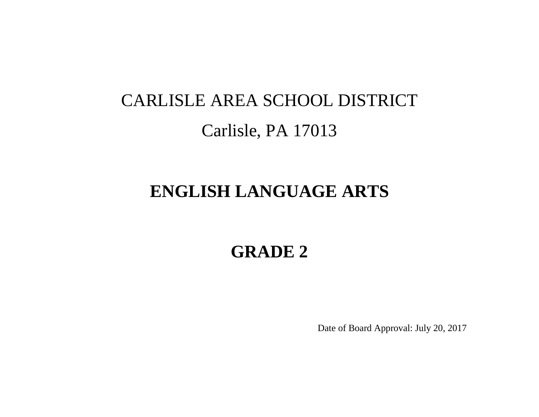# CARLISLE AREA SCHOOL DISTRICT Carlisle, PA 17013

### **ENGLISH LANGUAGE ARTS**

## **GRADE 2**

Date of Board Approval: July 20, 2017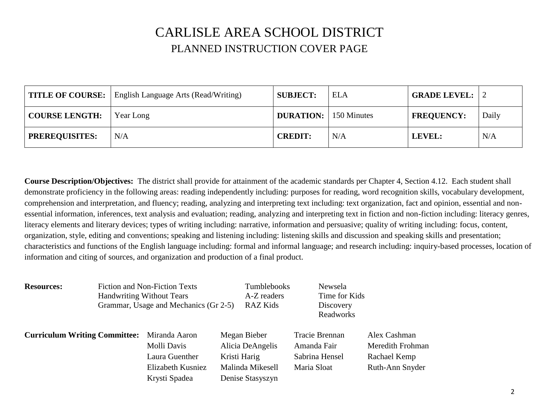### CARLISLE AREA SCHOOL DISTRICT PLANNED INSTRUCTION COVER PAGE

|                       | <b>TITLE OF COURSE:</b> English Language Arts (Read/Writing) | <b>SUBJECT:</b>                | <b>ELA</b> | <b>GRADE LEVEL:</b> |       |
|-----------------------|--------------------------------------------------------------|--------------------------------|------------|---------------------|-------|
| <b>COURSE LENGTH:</b> | Year Long                                                    | <b>DURATION:</b>   150 Minutes |            | <b>FREQUENCY:</b>   | Daily |
| <b>PREREQUISITES:</b> | N/A                                                          | <b>CREDIT:</b>                 | N/A        | LEVEL:              | N/A   |

**Course Description/Objectives:** The district shall provide for attainment of the academic standards per Chapter 4, Section 4.12. Each student shall demonstrate proficiency in the following areas: reading independently including: purposes for reading, word recognition skills, vocabulary development, comprehension and interpretation, and fluency; reading, analyzing and interpreting text including: text organization, fact and opinion, essential and nonessential information, inferences, text analysis and evaluation; reading, analyzing and interpreting text in fiction and non-fiction including: literacy genres, literacy elements and literary devices; types of writing including: narrative, information and persuasive; quality of writing including: focus, content, organization, style, editing and conventions; speaking and listening including: listening skills and discussion and speaking skills and presentation; characteristics and functions of the English language including: formal and informal language; and research including: inquiry-based processes, location of information and citing of sources, and organization and production of a final product.

| <b>Resources:</b>                    |                                  | <b>Fiction and Non-Fiction Texts</b>  |              | Tumblebooks      | Newsela        |                  |
|--------------------------------------|----------------------------------|---------------------------------------|--------------|------------------|----------------|------------------|
|                                      | <b>Handwriting Without Tears</b> |                                       |              | A-Z readers      | Time for Kids  |                  |
|                                      |                                  | Grammar, Usage and Mechanics (Gr 2-5) |              | RAZ Kids         | Discovery      |                  |
|                                      |                                  |                                       |              |                  | Readworks      |                  |
| <b>Curriculum Writing Committee:</b> |                                  | Miranda Aaron                         |              | Megan Bieber     | Tracie Brennan | Alex Cashman     |
|                                      |                                  | Molli Davis                           |              | Alicia DeAngelis | Amanda Fair    | Meredith Frohman |
|                                      |                                  | Laura Guenther                        | Kristi Harig |                  | Sabrina Hensel | Rachael Kemp     |
|                                      |                                  | Elizabeth Kusniez                     |              | Malinda Mikesell | Maria Sloat    | Ruth-Ann Snyder  |
|                                      |                                  | Krysti Spadea                         |              | Denise Stasyszyn |                |                  |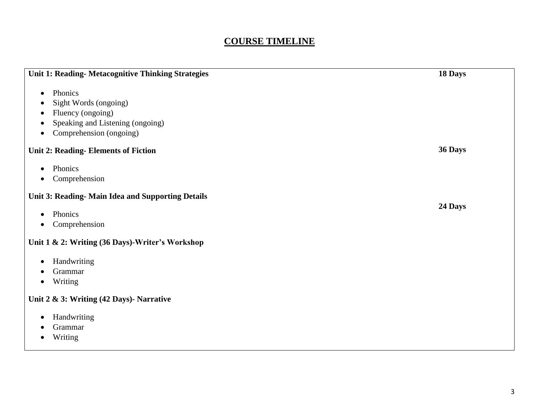#### **COURSE TIMELINE**

| <b>Unit 1: Reading- Metacognitive Thinking Strategies</b>                                                                                        | 18 Days |
|--------------------------------------------------------------------------------------------------------------------------------------------------|---------|
| Phonics<br>$\bullet$<br>Sight Words (ongoing)<br>Fluency (ongoing)<br>о<br>Speaking and Listening (ongoing)<br>٠<br>Comprehension (ongoing)<br>٠ |         |
| <b>Unit 2: Reading-Elements of Fiction</b>                                                                                                       | 36 Days |
| Phonics<br>$\bullet$<br>Comprehension<br>٠                                                                                                       |         |
| Unit 3: Reading- Main Idea and Supporting Details                                                                                                |         |
| Phonics<br>$\bullet$<br>Comprehension<br>$\bullet$                                                                                               | 24 Days |
| Unit 1 & 2: Writing (36 Days)-Writer's Workshop                                                                                                  |         |
| Handwriting<br>$\bullet$<br>Grammar<br>Writing<br>$\bullet$                                                                                      |         |
| Unit 2 & 3: Writing (42 Days)- Narrative                                                                                                         |         |
| Handwriting<br>$\bullet$<br>Grammar<br>Writing                                                                                                   |         |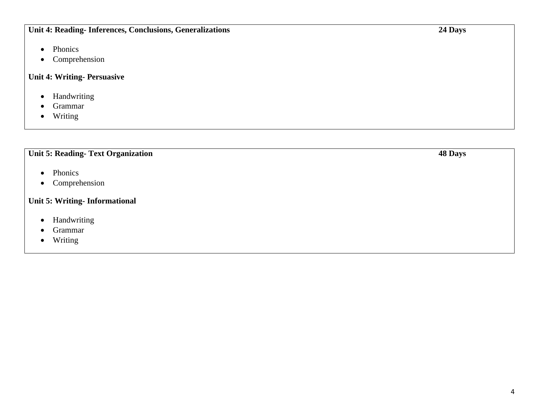#### **Unit 4: Reading- Inferences, Conclusions, Generalizations**

- Phonics
- Comprehension

#### **Unit 4: Writing- Persuasive**

- Handwriting
- Grammar
- Writing

#### **Unit 5: Reading- Text Organization**

- Phonics
- Comprehension

#### **Unit 5: Writing- Informational**

- Handwriting
- Grammar
- Writing

**48 Days**

**24 Days**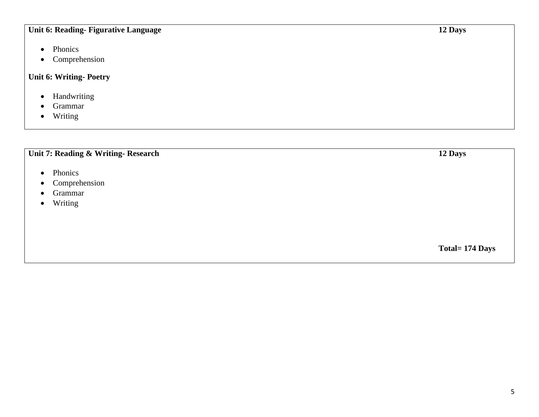#### **Unit 6: Reading- Figurative Language**

- Phonics
- Comprehension

#### **Unit 6: Writing- Poetry**

- Handwriting
- Grammar
- Writing

#### **Unit 7: Reading & Writing- Research**

- Phonics
- Comprehension
- Grammar
- Writing

**12 Days**

**12 Days**

**Total= 174 Days**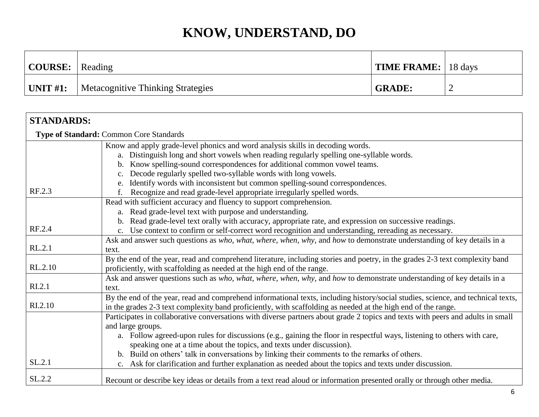| $\vert$ COURSE: $\vert$ Reading |                                   | <b>TIME FRAME:</b> $\vert$ 18 days |   |
|---------------------------------|-----------------------------------|------------------------------------|---|
| $\mid$ UNIT #1:                 | Metacognitive Thinking Strategies | <b>GRADE:</b>                      | ∽ |

| <b>STANDARDS:</b>  |                                                                                                                                  |
|--------------------|----------------------------------------------------------------------------------------------------------------------------------|
|                    | <b>Type of Standard: Common Core Standards</b>                                                                                   |
|                    | Know and apply grade-level phonics and word analysis skills in decoding words.                                                   |
|                    | a. Distinguish long and short vowels when reading regularly spelling one-syllable words.                                         |
|                    | Know spelling-sound correspondences for additional common vowel teams.                                                           |
|                    | Decode regularly spelled two-syllable words with long vowels.                                                                    |
|                    | Identify words with inconsistent but common spelling-sound correspondences.                                                      |
| RF.2.3             | Recognize and read grade-level appropriate irregularly spelled words.<br>f.                                                      |
|                    | Read with sufficient accuracy and fluency to support comprehension.                                                              |
|                    | a. Read grade-level text with purpose and understanding.                                                                         |
|                    | Read grade-level text orally with accuracy, appropriate rate, and expression on successive readings.<br>b.                       |
| RF.2.4             | c. Use context to confirm or self-correct word recognition and understanding, rereading as necessary.                            |
|                    | Ask and answer such questions as who, what, where, when, why, and how to demonstrate understanding of key details in a           |
| RL.2.1             | text.                                                                                                                            |
|                    | By the end of the year, read and comprehend literature, including stories and poetry, in the grades 2-3 text complexity band     |
| RL.2.10            | proficiently, with scaffolding as needed at the high end of the range.                                                           |
|                    | Ask and answer questions such as who, what, where, when, why, and how to demonstrate understanding of key details in a           |
| R <sub>L.2.1</sub> | text.                                                                                                                            |
|                    | By the end of the year, read and comprehend informational texts, including history/social studies, science, and technical texts, |
| RI.2.10            | in the grades 2-3 text complexity band proficiently, with scaffolding as needed at the high end of the range.                    |
|                    | Participates in collaborative conversations with diverse partners about grade 2 topics and texts with peers and adults in small  |
|                    | and large groups.                                                                                                                |
|                    | a. Follow agreed-upon rules for discussions (e.g., gaining the floor in respectful ways, listening to others with care,          |
|                    | speaking one at a time about the topics, and texts under discussion).                                                            |
|                    | b. Build on others' talk in conversations by linking their comments to the remarks of others.                                    |
| SL.2.1             | c. Ask for clarification and further explanation as needed about the topics and texts under discussion.                          |
| SL.2.2             | Recount or describe key ideas or details from a text read aloud or information presented orally or through other media.          |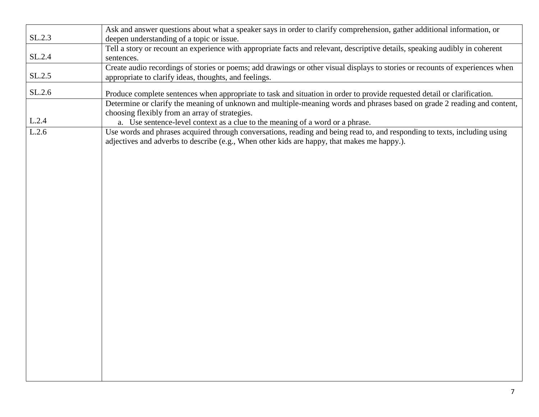|        | Ask and answer questions about what a speaker says in order to clarify comprehension, gather additional information, or       |
|--------|-------------------------------------------------------------------------------------------------------------------------------|
| SL.2.3 | deepen understanding of a topic or issue.                                                                                     |
|        | Tell a story or recount an experience with appropriate facts and relevant, descriptive details, speaking audibly in coherent  |
| SL.2.4 | sentences.                                                                                                                    |
|        | Create audio recordings of stories or poems; add drawings or other visual displays to stories or recounts of experiences when |
| SL.2.5 | appropriate to clarify ideas, thoughts, and feelings.                                                                         |
|        |                                                                                                                               |
| SL.2.6 | Produce complete sentences when appropriate to task and situation in order to provide requested detail or clarification.      |
|        | Determine or clarify the meaning of unknown and multiple-meaning words and phrases based on grade 2 reading and content,      |
|        | choosing flexibly from an array of strategies.                                                                                |
| L.2.4  | a. Use sentence-level context as a clue to the meaning of a word or a phrase.                                                 |
| L.2.6  | Use words and phrases acquired through conversations, reading and being read to, and responding to texts, including using     |
|        | adjectives and adverbs to describe (e.g., When other kids are happy, that makes me happy.).                                   |
|        |                                                                                                                               |
|        |                                                                                                                               |
|        |                                                                                                                               |
|        |                                                                                                                               |
|        |                                                                                                                               |
|        |                                                                                                                               |
|        |                                                                                                                               |
|        |                                                                                                                               |
|        |                                                                                                                               |
|        |                                                                                                                               |
|        |                                                                                                                               |
|        |                                                                                                                               |
|        |                                                                                                                               |
|        |                                                                                                                               |
|        |                                                                                                                               |
|        |                                                                                                                               |
|        |                                                                                                                               |
|        |                                                                                                                               |
|        |                                                                                                                               |
|        |                                                                                                                               |
|        |                                                                                                                               |
|        |                                                                                                                               |
|        |                                                                                                                               |
|        |                                                                                                                               |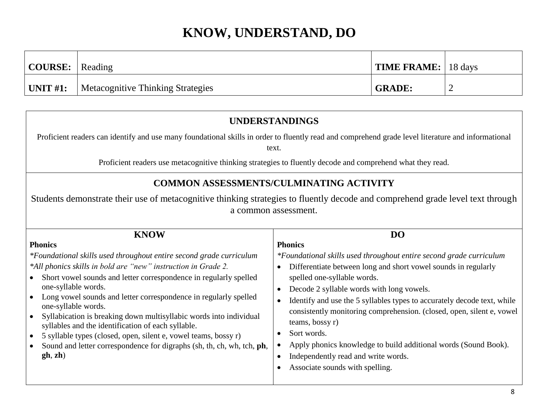| $\vert$ COURSE: $\vert$ Reading |                                   | <b>TIME FRAME:</b> 18 days |  |
|---------------------------------|-----------------------------------|----------------------------|--|
| $\mid$ UNIT #1:                 | Metacognitive Thinking Strategies | <b>GRADE:</b>              |  |

#### **UNDERSTANDINGS** Proficient readers can identify and use many foundational skills in order to fluently read and comprehend grade level literature and informational text. Proficient readers use metacognitive thinking strategies to fluently decode and comprehend what they read. **COMMON ASSESSMENTS/CULMINATING ACTIVITY** Students demonstrate their use of metacognitive thinking strategies to fluently decode and comprehend grade level text through a common assessment. **KNOW Phonics** *\*Foundational skills used throughout entire second grade curriculum \*All phonics skills in bold are "new" instruction in Grade 2.* Short vowel sounds and letter correspondence in regularly spelled one-syllable words. Long vowel sounds and letter correspondence in regularly spelled one-syllable words. Syllabication is breaking down multisyllabic words into individual syllables and the identification of each syllable. 5 syllable types (closed, open, silent e, vowel teams, bossy r) Sound and letter correspondence for digraphs (sh, th, ch, wh, tch, **ph**, **gh**, **zh**) **DO Phonics** *\*Foundational skills used throughout entire second grade curriculum* Differentiate between long and short vowel sounds in regularly spelled one-syllable words. Decode 2 syllable words with long vowels. • Identify and use the 5 syllables types to accurately decode text, while consistently monitoring comprehension. (closed, open, silent e, vowel teams, bossy r) Sort words. Apply phonics knowledge to build additional words (Sound Book). Independently read and write words. • Associate sounds with spelling.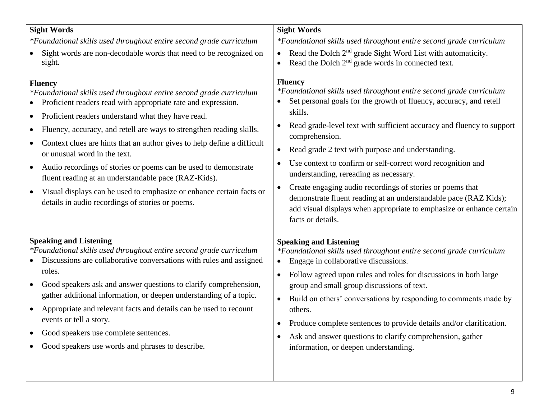#### **Sight Words**

*\*Foundational skills used throughout entire second grade curriculum*

• Sight words are non-decodable words that need to be recognized on sight.

#### **Fluency**

*\*Foundational skills used throughout entire second grade curriculum*

- Proficient readers read with appropriate rate and expression.
- Proficient readers understand what they have read.
- Fluency, accuracy, and retell are ways to strengthen reading skills.
- Context clues are hints that an author gives to help define a difficult or unusual word in the text.
- Audio recordings of stories or poems can be used to demonstrate fluent reading at an understandable pace (RAZ-Kids).
- Visual displays can be used to emphasize or enhance certain facts or details in audio recordings of stories or poems.

#### **Speaking and Listening**

*\*Foundational skills used throughout entire second grade curriculum*

- Discussions are collaborative conversations with rules and assigned roles.
- Good speakers ask and answer questions to clarify comprehension, gather additional information, or deepen understanding of a topic.
- Appropriate and relevant facts and details can be used to recount events or tell a story.
- Good speakers use complete sentences.
- Good speakers use words and phrases to describe.

#### **Sight Words**

*\*Foundational skills used throughout entire second grade curriculum*

- Read the Dolch  $2<sup>nd</sup>$  grade Sight Word List with automaticity.
- Read the Dolch  $2<sup>nd</sup>$  grade words in connected text.

#### **Fluency**

*\*Foundational skills used throughout entire second grade curriculum*

- Set personal goals for the growth of fluency, accuracy, and retell skills.
- Read grade-level text with sufficient accuracy and fluency to support comprehension.
- Read grade 2 text with purpose and understanding.
- Use context to confirm or self-correct word recognition and understanding, rereading as necessary.
- Create engaging audio recordings of stories or poems that demonstrate fluent reading at an understandable pace (RAZ Kids); add visual displays when appropriate to emphasize or enhance certain facts or details.

#### **Speaking and Listening**

*\*Foundational skills used throughout entire second grade curriculum*

- Engage in collaborative discussions.
- Follow agreed upon rules and roles for discussions in both large group and small group discussions of text.
- Build on others' conversations by responding to comments made by others.
- Produce complete sentences to provide details and/or clarification.
- Ask and answer questions to clarify comprehension, gather information, or deepen understanding.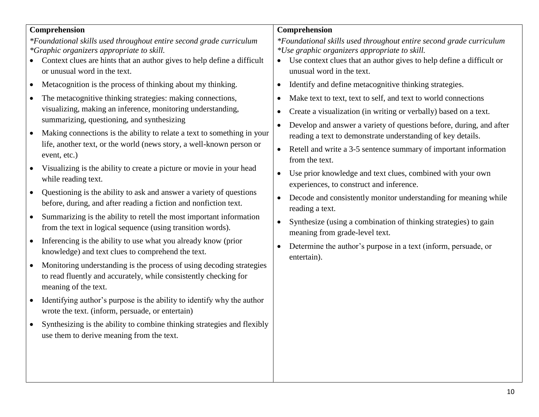#### **Comprehension**

*\*Foundational skills used throughout entire second grade curriculum \*Graphic organizers appropriate to skill.*

- Context clues are hints that an author gives to help define a difficult or unusual word in the text.
- Metacognition is the process of thinking about my thinking.
- The metacognitive thinking strategies: making connections, visualizing, making an inference, monitoring understanding, summarizing, questioning, and synthesizing
- Making connections is the ability to relate a text to something in your life, another text, or the world (news story, a well-known person or event, etc.)
- Visualizing is the ability to create a picture or movie in your head while reading text.
- Questioning is the ability to ask and answer a variety of questions before, during, and after reading a fiction and nonfiction text.
- Summarizing is the ability to retell the most important information from the text in logical sequence (using transition words).
- Inferencing is the ability to use what you already know (prior knowledge) and text clues to comprehend the text.
- Monitoring understanding is the process of using decoding strategies to read fluently and accurately, while consistently checking for meaning of the text.
- Identifying author's purpose is the ability to identify why the author wrote the text. (inform, persuade, or entertain)
- Synthesizing is the ability to combine thinking strategies and flexibly use them to derive meaning from the text.

#### **Comprehension**

*\*Foundational skills used throughout entire second grade curriculum \*Use graphic organizers appropriate to skill.*

- Use context clues that an author gives to help define a difficult or unusual word in the text.
- Identify and define metacognitive thinking strategies.
- Make text to text, text to self, and text to world connections
- Create a visualization (in writing or verbally) based on a text.
- Develop and answer a variety of questions before, during, and after reading a text to demonstrate understanding of key details.
- Retell and write a 3-5 sentence summary of important information from the text.
- Use prior knowledge and text clues, combined with your own experiences, to construct and inference.
- Decode and consistently monitor understanding for meaning while reading a text.
- Synthesize (using a combination of thinking strategies) to gain meaning from grade-level text.
- Determine the author's purpose in a text (inform, persuade, or entertain).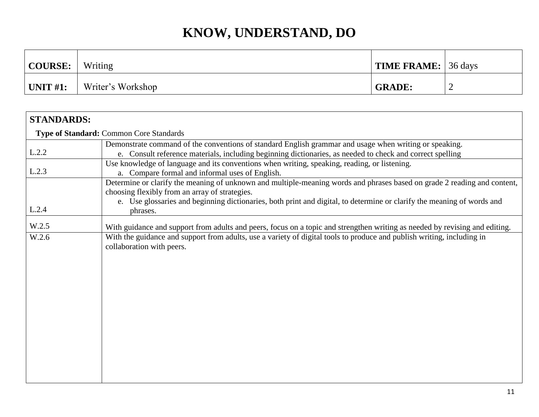| <b>COURSE:</b>   | Writing           | <b>TIME FRAME:</b> 36 days |   |
|------------------|-------------------|----------------------------|---|
| $\vert$ UNIT #1: | Writer's Workshop | <b>GRADE:</b>              | ∼ |

| <b>Type of Standard: Common Core Standards</b>                                                                                                                                                                                                                                                                   |  |  |  |  |
|------------------------------------------------------------------------------------------------------------------------------------------------------------------------------------------------------------------------------------------------------------------------------------------------------------------|--|--|--|--|
| Demonstrate command of the conventions of standard English grammar and usage when writing or speaking.<br>e. Consult reference materials, including beginning dictionaries, as needed to check and correct spelling                                                                                              |  |  |  |  |
| Use knowledge of language and its conventions when writing, speaking, reading, or listening.<br>a. Compare formal and informal uses of English.                                                                                                                                                                  |  |  |  |  |
| Determine or clarify the meaning of unknown and multiple-meaning words and phrases based on grade 2 reading and content,<br>choosing flexibly from an array of strategies.<br>e. Use glossaries and beginning dictionaries, both print and digital, to determine or clarify the meaning of words and<br>phrases. |  |  |  |  |
| With guidance and support from adults and peers, focus on a topic and strengthen writing as needed by revising and editing.                                                                                                                                                                                      |  |  |  |  |
| With the guidance and support from adults, use a variety of digital tools to produce and publish writing, including in<br>collaboration with peers.                                                                                                                                                              |  |  |  |  |
|                                                                                                                                                                                                                                                                                                                  |  |  |  |  |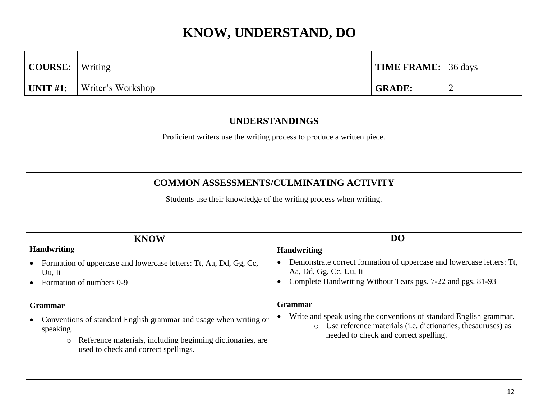| COURSE:         | Writing           | <b>TIME FRAME:</b> 36 days |   |
|-----------------|-------------------|----------------------------|---|
| $\mid$ UNIT #1: | Writer's Workshop | <b>GRADE:</b>              | ∽ |

| <b>UNDERSTANDINGS</b>                                                                                                                                                                           |                                                                                                                                                                                       |  |  |
|-------------------------------------------------------------------------------------------------------------------------------------------------------------------------------------------------|---------------------------------------------------------------------------------------------------------------------------------------------------------------------------------------|--|--|
|                                                                                                                                                                                                 | Proficient writers use the writing process to produce a written piece.                                                                                                                |  |  |
|                                                                                                                                                                                                 |                                                                                                                                                                                       |  |  |
|                                                                                                                                                                                                 | <b>COMMON ASSESSMENTS/CULMINATING ACTIVITY</b>                                                                                                                                        |  |  |
|                                                                                                                                                                                                 | Students use their knowledge of the writing process when writing.                                                                                                                     |  |  |
|                                                                                                                                                                                                 |                                                                                                                                                                                       |  |  |
| <b>KNOW</b>                                                                                                                                                                                     | DO                                                                                                                                                                                    |  |  |
| <b>Handwriting</b>                                                                                                                                                                              | <b>Handwriting</b>                                                                                                                                                                    |  |  |
| Formation of uppercase and lowercase letters: Tt, Aa, Dd, Gg, Cc,<br>Uu. Ii                                                                                                                     | Demonstrate correct formation of uppercase and lowercase letters: Tt,<br>Aa, Dd, Gg, Cc, Uu, Ii                                                                                       |  |  |
| Formation of numbers 0-9                                                                                                                                                                        | Complete Handwriting Without Tears pgs. 7-22 and pgs. 81-93                                                                                                                           |  |  |
| <b>Grammar</b>                                                                                                                                                                                  | <b>Grammar</b>                                                                                                                                                                        |  |  |
| Conventions of standard English grammar and usage when writing or<br>speaking.<br>Reference materials, including beginning dictionaries, are<br>$\circ$<br>used to check and correct spellings. | Write and speak using the conventions of standard English grammar.<br>Use reference materials (i.e. dictionaries, thesauruses) as<br>$\circ$<br>needed to check and correct spelling. |  |  |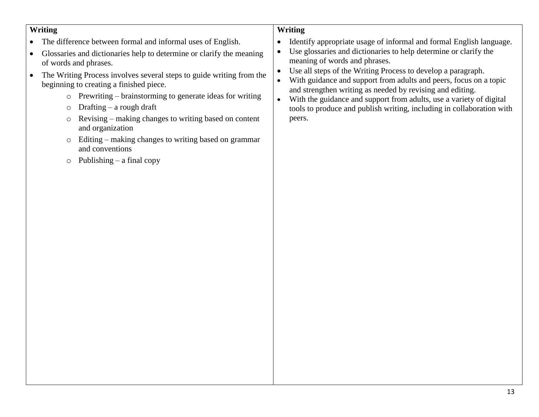#### **Writing**

- The difference between formal and informal uses of English.
- Glossaries and dictionaries help to determine or clarify the meaning of words and phrases.
- The Writing Process involves several steps to guide writing from the beginning to creating a finished piece.
	- o Prewriting brainstorming to generate ideas for writing
	- o Drafting a rough draft
	- o Revising making changes to writing based on content and organization
	- o Editing making changes to writing based on grammar and conventions
	- $\circ$  Publishing a final copy

#### **Writing**

- Identify appropriate usage of informal and formal English language.
- Use glossaries and dictionaries to help determine or clarify the meaning of words and phrases.
- Use all steps of the Writing Process to develop a paragraph.
- With guidance and support from adults and peers, focus on a topic and strengthen writing as needed by revising and editing.
- With the guidance and support from adults, use a variety of digital tools to produce and publish writing, including in collaboration with peers.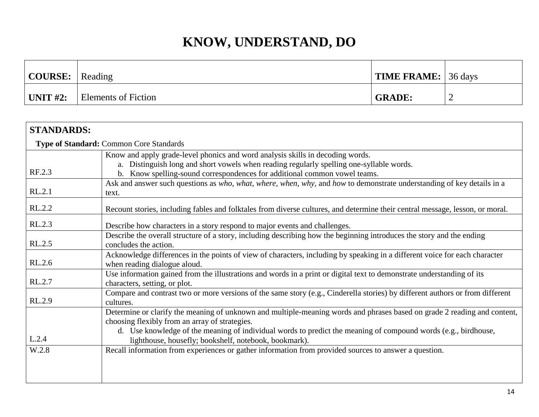| $\vert$ COURSE: $\vert$ Reading |                     | $\vert$ TIME FRAME: $\vert$ 36 days |  |
|---------------------------------|---------------------|-------------------------------------|--|
| $\pm$ UNIT #2:                  | Elements of Fiction | <b>GRADE:</b>                       |  |

| <b>STANDARDS:</b> |                                                                                                                                                                                                                                                                                                                                                       |
|-------------------|-------------------------------------------------------------------------------------------------------------------------------------------------------------------------------------------------------------------------------------------------------------------------------------------------------------------------------------------------------|
|                   | <b>Type of Standard: Common Core Standards</b>                                                                                                                                                                                                                                                                                                        |
|                   | Know and apply grade-level phonics and word analysis skills in decoding words.                                                                                                                                                                                                                                                                        |
| RF.2.3            | a. Distinguish long and short vowels when reading regularly spelling one-syllable words.                                                                                                                                                                                                                                                              |
|                   | b. Know spelling-sound correspondences for additional common vowel teams.                                                                                                                                                                                                                                                                             |
| RL.2.1            | Ask and answer such questions as who, what, where, when, why, and how to demonstrate understanding of key details in a<br>text.                                                                                                                                                                                                                       |
|                   |                                                                                                                                                                                                                                                                                                                                                       |
| RL.2.2            | Recount stories, including fables and folktales from diverse cultures, and determine their central message, lesson, or moral.                                                                                                                                                                                                                         |
| RL.2.3            | Describe how characters in a story respond to major events and challenges.                                                                                                                                                                                                                                                                            |
| RL.2.5            | Describe the overall structure of a story, including describing how the beginning introduces the story and the ending<br>concludes the action.                                                                                                                                                                                                        |
| RL.2.6            | Acknowledge differences in the points of view of characters, including by speaking in a different voice for each character<br>when reading dialogue aloud.                                                                                                                                                                                            |
| RL.2.7            | Use information gained from the illustrations and words in a print or digital text to demonstrate understanding of its<br>characters, setting, or plot.                                                                                                                                                                                               |
| RL.2.9            | Compare and contrast two or more versions of the same story (e.g., Cinderella stories) by different authors or from different<br>cultures.                                                                                                                                                                                                            |
| L.2.4             | Determine or clarify the meaning of unknown and multiple-meaning words and phrases based on grade 2 reading and content,<br>choosing flexibly from an array of strategies.<br>d. Use knowledge of the meaning of individual words to predict the meaning of compound words (e.g., birdhouse,<br>lighthouse, housefly; bookshelf, notebook, bookmark). |
| W.2.8             | Recall information from experiences or gather information from provided sources to answer a question.                                                                                                                                                                                                                                                 |
|                   |                                                                                                                                                                                                                                                                                                                                                       |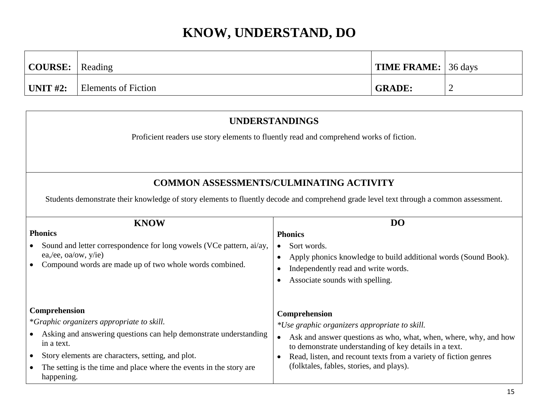| $\vert$ COURSE: $\vert$ Reading |                     | <b>TIME FRAME:</b> 36 days |  |
|---------------------------------|---------------------|----------------------------|--|
| $\mid$ UNIT #2:                 | Elements of Fiction | <b>GRADE:</b>              |  |

| <b>UNDERSTANDINGS</b>                                                                                                                                                                                                                                                                                |                                                                                                                                                                                                                                                                                                                                        |  |  |  |  |  |
|------------------------------------------------------------------------------------------------------------------------------------------------------------------------------------------------------------------------------------------------------------------------------------------------------|----------------------------------------------------------------------------------------------------------------------------------------------------------------------------------------------------------------------------------------------------------------------------------------------------------------------------------------|--|--|--|--|--|
| Proficient readers use story elements to fluently read and comprehend works of fiction.                                                                                                                                                                                                              |                                                                                                                                                                                                                                                                                                                                        |  |  |  |  |  |
|                                                                                                                                                                                                                                                                                                      |                                                                                                                                                                                                                                                                                                                                        |  |  |  |  |  |
|                                                                                                                                                                                                                                                                                                      | <b>COMMON ASSESSMENTS/CULMINATING ACTIVITY</b>                                                                                                                                                                                                                                                                                         |  |  |  |  |  |
|                                                                                                                                                                                                                                                                                                      | Students demonstrate their knowledge of story elements to fluently decode and comprehend grade level text through a common assessment.                                                                                                                                                                                                 |  |  |  |  |  |
| <b>KNOW</b><br><b>Phonics</b><br>Sound and letter correspondence for long vowels (VCe pattern, ai/ay,<br>ea,/ee, oa/ow, y/ie)<br>Compound words are made up of two whole words combined.                                                                                                             | D <sub>O</sub><br><b>Phonics</b><br>Sort words.<br>$\bullet$<br>Apply phonics knowledge to build additional words (Sound Book).<br>Independently read and write words.<br>$\bullet$<br>Associate sounds with spelling.                                                                                                                 |  |  |  |  |  |
| Comprehension<br>*Graphic organizers appropriate to skill.<br>Asking and answering questions can help demonstrate understanding<br>in a text.<br>Story elements are characters, setting, and plot.<br>$\bullet$<br>The setting is the time and place where the events in the story are<br>happening. | Comprehension<br>*Use graphic organizers appropriate to skill.<br>Ask and answer questions as who, what, when, where, why, and how<br>$\bullet$<br>to demonstrate understanding of key details in a text.<br>Read, listen, and recount texts from a variety of fiction genres<br>$\bullet$<br>(folktales, fables, stories, and plays). |  |  |  |  |  |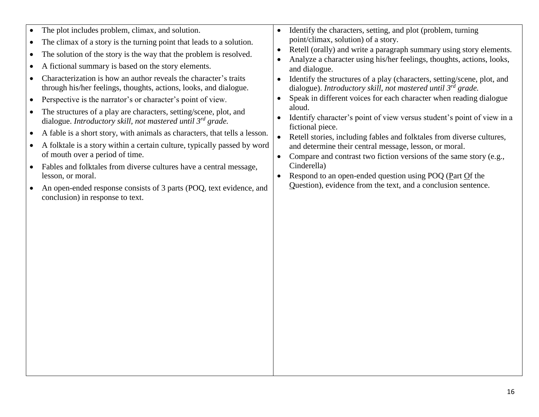| $\bullet$ | The plot includes problem, climax, and solution.                                                                                      | $\bullet$ | Identify the characters, setting, and plot (problem, turning                                                                                 |
|-----------|---------------------------------------------------------------------------------------------------------------------------------------|-----------|----------------------------------------------------------------------------------------------------------------------------------------------|
|           | • The climax of a story is the turning point that leads to a solution.                                                                |           | point/climax, solution) of a story.                                                                                                          |
| $\bullet$ | The solution of the story is the way that the problem is resolved.                                                                    | $\bullet$ | Retell (orally) and write a paragraph summary using story elements.                                                                          |
|           | • A fictional summary is based on the story elements.                                                                                 |           | Analyze a character using his/her feelings, thoughts, actions, looks,<br>and dialogue.                                                       |
|           | Characterization is how an author reveals the character's traits<br>through his/her feelings, thoughts, actions, looks, and dialogue. | $\bullet$ | Identify the structures of a play (characters, setting/scene, plot, and<br>dialogue). Introductory skill, not mastered until $3^{rd}$ grade. |
|           | • Perspective is the narrator's or character's point of view.                                                                         |           | Speak in different voices for each character when reading dialogue                                                                           |
| $\bullet$ | The structures of a play are characters, setting/scene, plot, and<br>dialogue. Introductory skill, not mastered until $3^{rd}$ grade. |           | aloud.<br>Identify character's point of view versus student's point of view in a<br>fictional piece.                                         |
| $\bullet$ | A fable is a short story, with animals as characters, that tells a lesson.                                                            | $\bullet$ | Retell stories, including fables and folktales from diverse cultures,                                                                        |
| $\bullet$ | A folktale is a story within a certain culture, typically passed by word<br>of mouth over a period of time.                           |           | and determine their central message, lesson, or moral.<br>Compare and contrast two fiction versions of the same story (e.g.,                 |
| $\bullet$ | Fables and folktales from diverse cultures have a central message,                                                                    |           | Cinderella)                                                                                                                                  |
|           | lesson, or moral.                                                                                                                     | $\bullet$ | Respond to an open-ended question using POQ (Part $\overline{O}$ f the<br>Question), evidence from the text, and a conclusion sentence.      |
| $\bullet$ | An open-ended response consists of 3 parts (POQ, text evidence, and                                                                   |           |                                                                                                                                              |

conclusion) in response to text.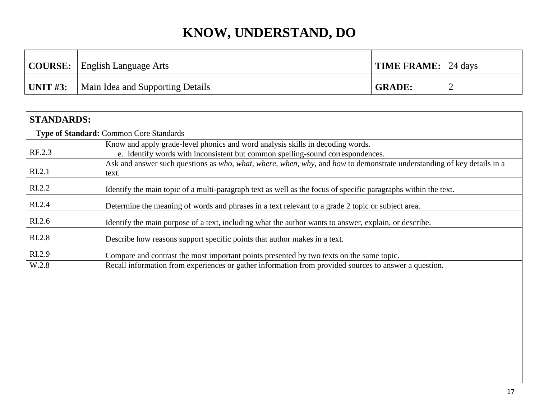|                  | <b>COURSE:</b> English Language Arts | $\mid$ TIME FRAME: $\mid$ 24 days |  |
|------------------|--------------------------------------|-----------------------------------|--|
| $\vert$ UNIT #3: | Main Idea and Supporting Details     | <b>GRADE:</b>                     |  |

| <b>STANDARDS:</b>  |                                                                                                                                 |
|--------------------|---------------------------------------------------------------------------------------------------------------------------------|
|                    | Type of Standard: Common Core Standards                                                                                         |
|                    | Know and apply grade-level phonics and word analysis skills in decoding words.                                                  |
| RF.2.3             | e. Identify words with inconsistent but common spelling-sound correspondences.                                                  |
| R <sub>L.2.1</sub> | Ask and answer such questions as who, what, where, when, why, and how to demonstrate understanding of key details in a<br>text. |
| R <sub>L.2.2</sub> | Identify the main topic of a multi-paragraph text as well as the focus of specific paragraphs within the text.                  |
| RI.2.4             | Determine the meaning of words and phrases in a text relevant to a grade 2 topic or subject area.                               |
| RI.2.6             | Identify the main purpose of a text, including what the author wants to answer, explain, or describe.                           |
| RI.2.8             | Describe how reasons support specific points that author makes in a text.                                                       |
| RI.2.9             | Compare and contrast the most important points presented by two texts on the same topic.                                        |
| W.2.8              | Recall information from experiences or gather information from provided sources to answer a question.                           |
|                    |                                                                                                                                 |
|                    |                                                                                                                                 |
|                    |                                                                                                                                 |
|                    |                                                                                                                                 |
|                    |                                                                                                                                 |
|                    |                                                                                                                                 |
|                    |                                                                                                                                 |
|                    |                                                                                                                                 |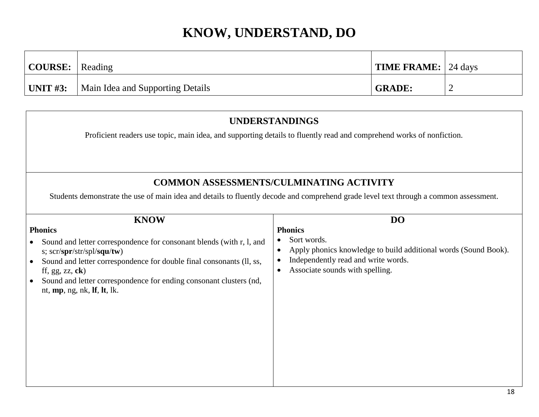| $\vert$ COURSE: $\vert$ Reading |                                  | <b>TIME FRAME:</b> 24 days |  |
|---------------------------------|----------------------------------|----------------------------|--|
| UNIT #3:                        | Main Idea and Supporting Details | <b>GRADE:</b>              |  |

### **UNDERSTANDINGS** Proficient readers use topic, main idea, and supporting details to fluently read and comprehend works of nonfiction. **COMMON ASSESSMENTS/CULMINATING ACTIVITY** Students demonstrate the use of main idea and details to fluently decode and comprehend grade level text through a common assessment. **KNOW Phonics** • Sound and letter correspondence for consonant blends (with r, l, and s; scr/**spr**/str/spl/**squ**/**tw**) • Sound and letter correspondence for double final consonants (II, ss, ff, gg, zz, **ck**) Sound and letter correspondence for ending consonant clusters (nd, nt, **mp**, ng, nk, **lf**, **lt**, lk. **DO Phonics** • Sort words. Apply phonics knowledge to build additional words (Sound Book). • Independently read and write words. • Associate sounds with spelling.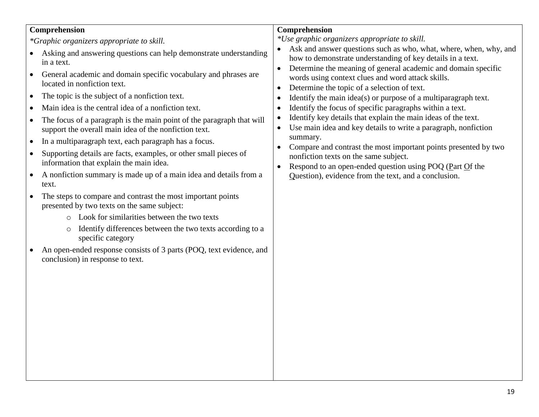| Comprehension<br>*Graphic organizers appropriate to skill.<br>Asking and answering questions can help demonstrate understanding<br>in a text.<br>General academic and domain specific vocabulary and phrases are<br>located in nonfiction text.<br>The topic is the subject of a nonfiction text.<br>$\bullet$<br>Main idea is the central idea of a nonfiction text.<br>The focus of a paragraph is the main point of the paragraph that will<br>$\bullet$<br>support the overall main idea of the nonfiction text.<br>In a multiparagraph text, each paragraph has a focus.<br>Supporting details are facts, examples, or other small pieces of<br>$\bullet$<br>information that explain the main idea.<br>A nonfiction summary is made up of a main idea and details from a<br>$\bullet$<br>text.<br>The steps to compare and contrast the most important points<br>presented by two texts on the same subject:<br>o Look for similarities between the two texts<br>Identify differences between the two texts according to a<br>$\circ$<br>specific category<br>An open-ended response consists of 3 parts (POQ, text evidence, and<br>conclusion) in response to text. | Comprehension<br>*Use graphic organizers appropriate to skill.<br>Ask and answer questions such as who, what, where, when, why, and<br>how to demonstrate understanding of key details in a text.<br>Determine the meaning of general academic and domain specific<br>$\bullet$<br>words using context clues and word attack skills.<br>Determine the topic of a selection of text.<br>$\bullet$<br>Identify the main $idea(s)$ or purpose of a multiparagraph text.<br>$\bullet$<br>Identify the focus of specific paragraphs within a text.<br>$\bullet$<br>Identify key details that explain the main ideas of the text.<br>$\bullet$<br>Use main idea and key details to write a paragraph, nonfiction<br>$\bullet$<br>summary.<br>Compare and contrast the most important points presented by two<br>$\bullet$<br>nonfiction texts on the same subject.<br>Respond to an open-ended question using POQ (Part Of the<br>$\bullet$<br>Question), evidence from the text, and a conclusion. |
|-----------------------------------------------------------------------------------------------------------------------------------------------------------------------------------------------------------------------------------------------------------------------------------------------------------------------------------------------------------------------------------------------------------------------------------------------------------------------------------------------------------------------------------------------------------------------------------------------------------------------------------------------------------------------------------------------------------------------------------------------------------------------------------------------------------------------------------------------------------------------------------------------------------------------------------------------------------------------------------------------------------------------------------------------------------------------------------------------------------------------------------------------------------------------------|-----------------------------------------------------------------------------------------------------------------------------------------------------------------------------------------------------------------------------------------------------------------------------------------------------------------------------------------------------------------------------------------------------------------------------------------------------------------------------------------------------------------------------------------------------------------------------------------------------------------------------------------------------------------------------------------------------------------------------------------------------------------------------------------------------------------------------------------------------------------------------------------------------------------------------------------------------------------------------------------------|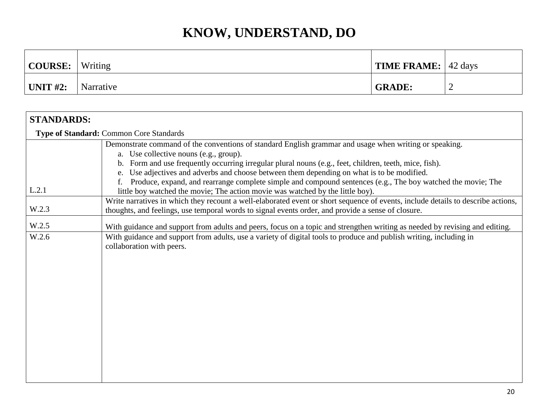| COURSE:     | Writing   | $\vert$ TIME FRAME: $\vert$ 42 days |   |
|-------------|-----------|-------------------------------------|---|
| UNIT $#2$ : | Narrative | <b>GRADE:</b>                       | ∼ |

| <b>STANDARDS:</b> |                                                                                                                                                                                                                                                                                                                                                                                                                                                                            |
|-------------------|----------------------------------------------------------------------------------------------------------------------------------------------------------------------------------------------------------------------------------------------------------------------------------------------------------------------------------------------------------------------------------------------------------------------------------------------------------------------------|
|                   | Type of Standard: Common Core Standards                                                                                                                                                                                                                                                                                                                                                                                                                                    |
|                   | Demonstrate command of the conventions of standard English grammar and usage when writing or speaking.<br>a. Use collective nouns (e.g., group).<br>b. Form and use frequently occurring irregular plural nouns (e.g., feet, children, teeth, mice, fish).<br>Use adjectives and adverbs and choose between them depending on what is to be modified.<br>Produce, expand, and rearrange complete simple and compound sentences (e.g., The boy watched the movie; The<br>f. |
| L.2.1             | little boy watched the movie; The action movie was watched by the little boy).                                                                                                                                                                                                                                                                                                                                                                                             |
| W.2.3             | Write narratives in which they recount a well-elaborated event or short sequence of events, include details to describe actions,<br>thoughts, and feelings, use temporal words to signal events order, and provide a sense of closure.                                                                                                                                                                                                                                     |
| W.2.5             | With guidance and support from adults and peers, focus on a topic and strengthen writing as needed by revising and editing.                                                                                                                                                                                                                                                                                                                                                |
| W.2.6             | With guidance and support from adults, use a variety of digital tools to produce and publish writing, including in<br>collaboration with peers.                                                                                                                                                                                                                                                                                                                            |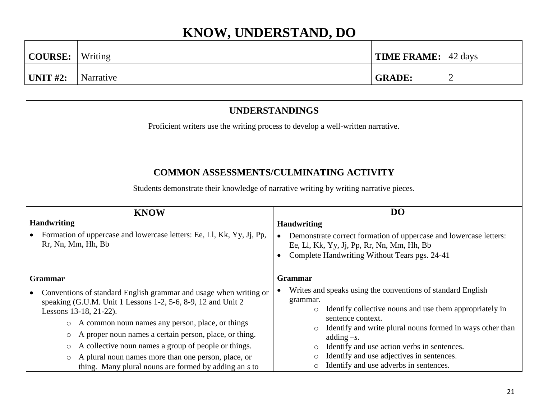| COURSE:               | Writing   | <b>TIME FRAME:</b> 42 days |   |
|-----------------------|-----------|----------------------------|---|
| $^{\dagger}$ UNIT #2: | Narrative | <b>GRADE:</b>              | ∼ |

|  | <b>UNDERSTANDINGS</b> |  |  |  |
|--|-----------------------|--|--|--|
|  |                       |  |  |  |

Proficient writers use the writing process to develop a well-written narrative.

### **COMMON ASSESSMENTS/CULMINATING ACTIVITY**

Students demonstrate their knowledge of narrative writing by writing narrative pieces.

| <b>KNOW</b>                                                                                                                                                                          | D <sub>O</sub>                                                                                                                                                                                      |
|--------------------------------------------------------------------------------------------------------------------------------------------------------------------------------------|-----------------------------------------------------------------------------------------------------------------------------------------------------------------------------------------------------|
| <b>Handwriting</b><br>Formation of uppercase and lowercase letters: Ee, Ll, Kk, Yy, Jj, Pp,<br>Rr, Nn, Mm, Hh, Bb                                                                    | <b>Handwriting</b><br>Demonstrate correct formation of uppercase and lowercase letters:<br>$\bullet$<br>Ee, Ll, Kk, Yy, Jj, Pp, Rr, Nn, Mm, Hh, Bb<br>Complete Handwriting Without Tears pgs. 24-41 |
| <b>Grammar</b>                                                                                                                                                                       | <b>Grammar</b>                                                                                                                                                                                      |
| Conventions of standard English grammar and usage when writing or<br>speaking (G.U.M. Unit 1 Lessons 1-2, 5-6, 8-9, 12 and Unit 2<br>Lessons 13-18, 21-22).                          | Writes and speaks using the conventions of standard English<br>grammar.<br>Identify collective nouns and use them appropriately in<br>$\circ$                                                       |
| A common noun names any person, place, or things<br>$\circ$<br>A proper noun names a certain person, place, or thing.<br>$\circ$                                                     | sentence context.<br>Identify and write plural nouns formed in ways other than<br>$\circ$<br>adding $-s$ .                                                                                          |
| A collective noun names a group of people or things.<br>O<br>A plural noun names more than one person, place, or<br>$\circ$<br>thing. Many plural nouns are formed by adding an s to | Identify and use action verbs in sentences.<br>Identify and use adjectives in sentences.<br>Identify and use adverbs in sentences.                                                                  |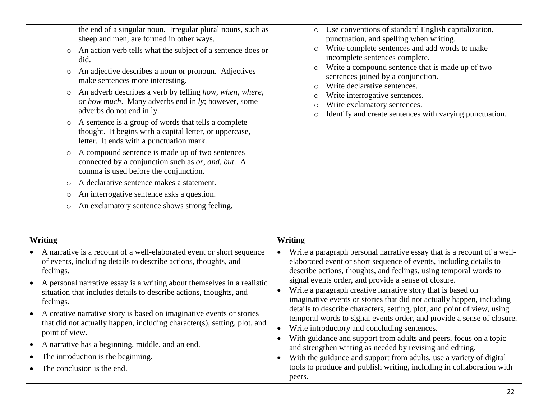the end of a singular noun. Irregular plural nouns, such as sheep and men, are formed in other ways.

- o An action verb tells what the subject of a sentence does or did.
- o An adjective describes a noun or pronoun. Adjectives make sentences more interesting.
- o An adverb describes a verb by telling *how, when, where, or how much*. Many adverbs end in *ly*; however, some adverbs do not end in ly.
- o A sentence is a group of words that tells a complete thought. It begins with a capital letter, or uppercase, letter. It ends with a punctuation mark.
- o A compound sentence is made up of two sentences connected by a conjunction such as *or*, *and*, *but*. A comma is used before the conjunction.
- o A declarative sentence makes a statement.
- o An interrogative sentence asks a question.
- o An exclamatory sentence shows strong feeling.

#### **Writing**

- A narrative is a recount of a well-elaborated event or short sequence of events, including details to describe actions, thoughts, and feelings.
- A personal narrative essay is a writing about themselves in a realistic situation that includes details to describe actions, thoughts, and feelings.
- A creative narrative story is based on imaginative events or stories that did not actually happen, including character(s), setting, plot, and point of view.
- A narrative has a beginning, middle, and an end.
- The introduction is the beginning.
- The conclusion is the end.
- o Use conventions of standard English capitalization, punctuation, and spelling when writing.
- o Write complete sentences and add words to make incomplete sentences complete.
- o Write a compound sentence that is made up of two sentences joined by a conjunction.
- o Write declarative sentences.
- Write interrogative sentences.
- o Write exclamatory sentences.
- o Identify and create sentences with varying punctuation.

#### **Writing**

- Write a paragraph personal narrative essay that is a recount of a wellelaborated event or short sequence of events, including details to describe actions, thoughts, and feelings, using temporal words to signal events order, and provide a sense of closure.
- Write a paragraph creative narrative story that is based on imaginative events or stories that did not actually happen, including details to describe characters, setting, plot, and point of view, using temporal words to signal events order, and provide a sense of closure.
- Write introductory and concluding sentences.
- With guidance and support from adults and peers, focus on a topic and strengthen writing as needed by revising and editing.
- With the guidance and support from adults, use a variety of digital tools to produce and publish writing, including in collaboration with peers.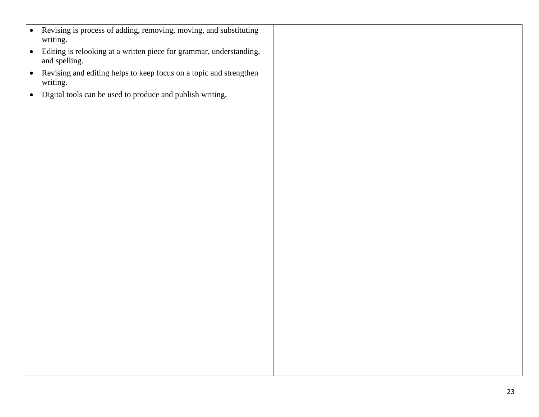- Revising is process of adding, removing, moving, and substituting writing.
- Editing is relooking at a written piece for grammar, understanding, and spelling.
- Revising and editing helps to keep focus on a topic and strengthen writing.
- Digital tools can be used to produce and publish writing.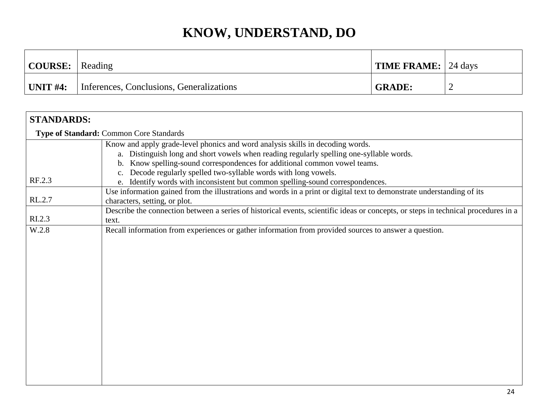| COURSE:     | Reading                                  | <b>TIME FRAME:</b> 24 days |   |
|-------------|------------------------------------------|----------------------------|---|
| UNIT $#4$ : | Inferences, Conclusions, Generalizations | <b>GRADE:</b>              | ∼ |

| <b>STANDARDS:</b> |                                                                                                                                    |  |  |  |
|-------------------|------------------------------------------------------------------------------------------------------------------------------------|--|--|--|
|                   | Type of Standard: Common Core Standards                                                                                            |  |  |  |
|                   | Know and apply grade-level phonics and word analysis skills in decoding words.                                                     |  |  |  |
|                   | a. Distinguish long and short vowels when reading regularly spelling one-syllable words.                                           |  |  |  |
|                   | b. Know spelling-sound correspondences for additional common vowel teams.                                                          |  |  |  |
|                   | c. Decode regularly spelled two-syllable words with long vowels.                                                                   |  |  |  |
| RF.2.3            | e. Identify words with inconsistent but common spelling-sound correspondences.                                                     |  |  |  |
| RL.2.7            | Use information gained from the illustrations and words in a print or digital text to demonstrate understanding of its             |  |  |  |
|                   | characters, setting, or plot.                                                                                                      |  |  |  |
| RI.2.3            | Describe the connection between a series of historical events, scientific ideas or concepts, or steps in technical procedures in a |  |  |  |
|                   | text.                                                                                                                              |  |  |  |
| W.2.8             | Recall information from experiences or gather information from provided sources to answer a question.                              |  |  |  |
|                   |                                                                                                                                    |  |  |  |
|                   |                                                                                                                                    |  |  |  |
|                   |                                                                                                                                    |  |  |  |
|                   |                                                                                                                                    |  |  |  |
|                   |                                                                                                                                    |  |  |  |
|                   |                                                                                                                                    |  |  |  |
|                   |                                                                                                                                    |  |  |  |
|                   |                                                                                                                                    |  |  |  |
|                   |                                                                                                                                    |  |  |  |
|                   |                                                                                                                                    |  |  |  |
|                   |                                                                                                                                    |  |  |  |
|                   |                                                                                                                                    |  |  |  |
|                   |                                                                                                                                    |  |  |  |
|                   |                                                                                                                                    |  |  |  |
|                   |                                                                                                                                    |  |  |  |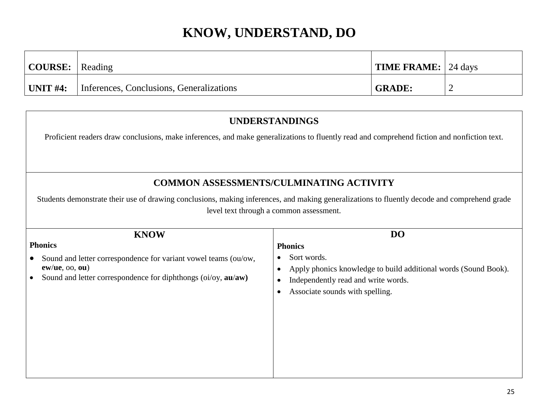| $\vert$ COURSE: $\vert$ Reading |                                          | TIME FRAME: 24 days |  |
|---------------------------------|------------------------------------------|---------------------|--|
| UNIT #4:                        | Inferences, Conclusions, Generalizations | <b>GRADE:</b>       |  |

#### **UNDERSTANDINGS**

Proficient readers draw conclusions, make inferences, and make generalizations to fluently read and comprehend fiction and nonfiction text.

#### **COMMON ASSESSMENTS/CULMINATING ACTIVITY**

Students demonstrate their use of drawing conclusions, making inferences, and making generalizations to fluently decode and comprehend grade level text through a common assessment.

| <b>KNOW</b>                                                                                                                                                 | D <sub>O</sub>                                                                                                                                                             |
|-------------------------------------------------------------------------------------------------------------------------------------------------------------|----------------------------------------------------------------------------------------------------------------------------------------------------------------------------|
| <b>Phonics</b>                                                                                                                                              | <b>Phonics</b>                                                                                                                                                             |
| Sound and letter correspondence for variant vowel teams (ou/ow,<br>$ew/ue$ , $oo$ , $ou$ )<br>Sound and letter correspondence for diphthongs (oi/oy, au/aw) | Sort words.<br>$\bullet$<br>Apply phonics knowledge to build additional words (Sound Book).<br>Independently read and write words.<br>Associate sounds with spelling.<br>c |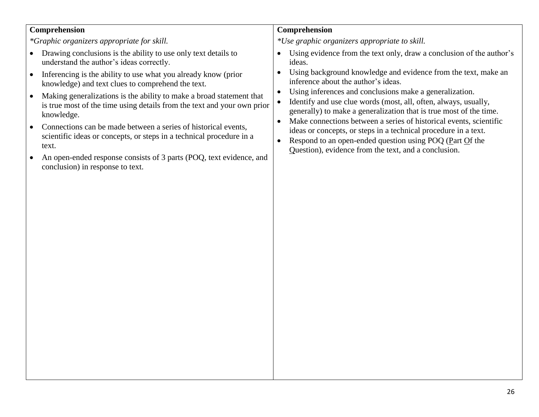#### **Comprehension**

*\*Graphic organizers appropriate for skill.*

- Drawing conclusions is the ability to use only text details to understand the author's ideas correctly.
- Inferencing is the ability to use what you already know (prior knowledge) and text clues to comprehend the text.
- Making generalizations is the ability to make a broad statement that is true most of the time using details from the text and your own prior knowledge.
- Connections can be made between a series of historical events, scientific ideas or concepts, or steps in a technical procedure in a text.
- An open-ended response consists of 3 parts (POQ, text evidence, and conclusion) in response to text.

#### **Comprehension**

*\*Use graphic organizers appropriate to skill.*

- Using evidence from the text only, draw a conclusion of the author's ideas.
- Using background knowledge and evidence from the text, make an inference about the author's ideas.
- Using inferences and conclusions make a generalization.
- Identify and use clue words (most, all, often, always, usually, generally) to make a generalization that is true most of the time.
- Make connections between a series of historical events, scientific ideas or concepts, or steps in a technical procedure in a text.
- Respond to an open-ended question using POQ (Part Of the Question), evidence from the text, and a conclusion.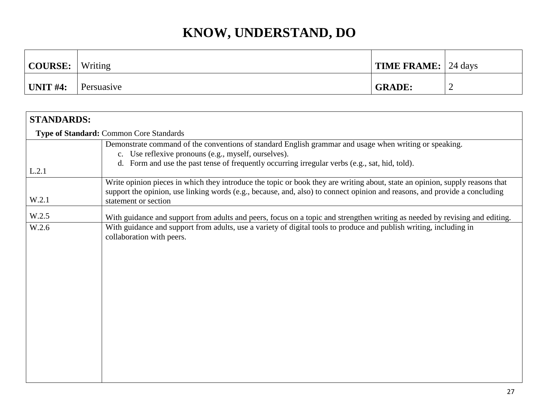| COURSE:   | Writing    | <b>TIME FRAME:</b> 24 days |   |
|-----------|------------|----------------------------|---|
| 'UNIT #4: | Persuasive | <b>GRADE:</b>              | ∽ |

| <b>STANDARDS:</b> |                                                                                                                                                                                                                                                                                    |  |  |  |
|-------------------|------------------------------------------------------------------------------------------------------------------------------------------------------------------------------------------------------------------------------------------------------------------------------------|--|--|--|
|                   | Type of Standard: Common Core Standards                                                                                                                                                                                                                                            |  |  |  |
|                   | Demonstrate command of the conventions of standard English grammar and usage when writing or speaking.<br>c. Use reflexive pronouns (e.g., myself, ourselves).<br>d. Form and use the past tense of frequently occurring irregular verbs (e.g., sat, hid, told).                   |  |  |  |
| L.2.1<br>W.2.1    | Write opinion pieces in which they introduce the topic or book they are writing about, state an opinion, supply reasons that<br>support the opinion, use linking words (e.g., because, and, also) to connect opinion and reasons, and provide a concluding<br>statement or section |  |  |  |
| W.2.5             | With guidance and support from adults and peers, focus on a topic and strengthen writing as needed by revising and editing.                                                                                                                                                        |  |  |  |
| W.2.6             | With guidance and support from adults, use a variety of digital tools to produce and publish writing, including in<br>collaboration with peers.                                                                                                                                    |  |  |  |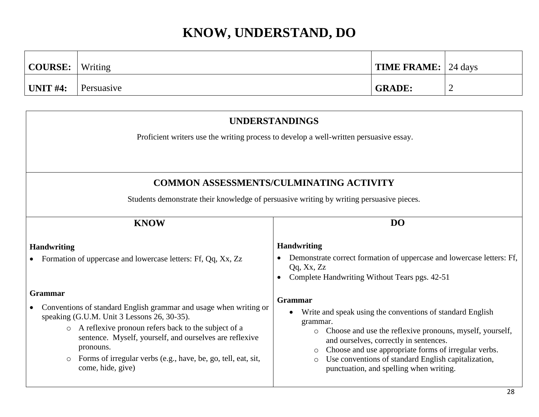| COURSE:      | Writing    | $\vert$ TIME FRAME: $\vert$ 24 days |   |
|--------------|------------|-------------------------------------|---|
| $ $ UNIT #4: | Persuasive | <b>GRADE:</b>                       | - |

| <b>UNDERSTANDINGS</b>                                                                                                                                                                                                                                                                                                                                                  |                                                                                                                                                                                                                                                                                                                                                                                   |  |  |
|------------------------------------------------------------------------------------------------------------------------------------------------------------------------------------------------------------------------------------------------------------------------------------------------------------------------------------------------------------------------|-----------------------------------------------------------------------------------------------------------------------------------------------------------------------------------------------------------------------------------------------------------------------------------------------------------------------------------------------------------------------------------|--|--|
|                                                                                                                                                                                                                                                                                                                                                                        | Proficient writers use the writing process to develop a well-written persuasive essay.                                                                                                                                                                                                                                                                                            |  |  |
|                                                                                                                                                                                                                                                                                                                                                                        |                                                                                                                                                                                                                                                                                                                                                                                   |  |  |
|                                                                                                                                                                                                                                                                                                                                                                        | <b>COMMON ASSESSMENTS/CULMINATING ACTIVITY</b>                                                                                                                                                                                                                                                                                                                                    |  |  |
| Students demonstrate their knowledge of persuasive writing by writing persuasive pieces.                                                                                                                                                                                                                                                                               |                                                                                                                                                                                                                                                                                                                                                                                   |  |  |
| DO<br><b>KNOW</b>                                                                                                                                                                                                                                                                                                                                                      |                                                                                                                                                                                                                                                                                                                                                                                   |  |  |
| <b>Handwriting</b><br>Formation of uppercase and lowercase letters: Ff, Qq, Xx, Zz                                                                                                                                                                                                                                                                                     | <b>Handwriting</b><br>Demonstrate correct formation of uppercase and lowercase letters: Ff,<br>$\bullet$<br>Qq, Xx, Zz<br>Complete Handwriting Without Tears pgs. 42-51                                                                                                                                                                                                           |  |  |
| Grammar<br>Conventions of standard English grammar and usage when writing or<br>speaking (G.U.M. Unit 3 Lessons 26, 30-35).<br>A reflexive pronoun refers back to the subject of a<br>$\circ$<br>sentence. Myself, yourself, and ourselves are reflexive<br>pronouns.<br>Forms of irregular verbs (e.g., have, be, go, tell, eat, sit,<br>$\circ$<br>come, hide, give) | Grammar<br>Write and speak using the conventions of standard English<br>grammar.<br>Choose and use the reflexive pronouns, myself, yourself,<br>$\circ$<br>and ourselves, correctly in sentences.<br>Choose and use appropriate forms of irregular verbs.<br>$\circ$<br>Use conventions of standard English capitalization,<br>$\circ$<br>punctuation, and spelling when writing. |  |  |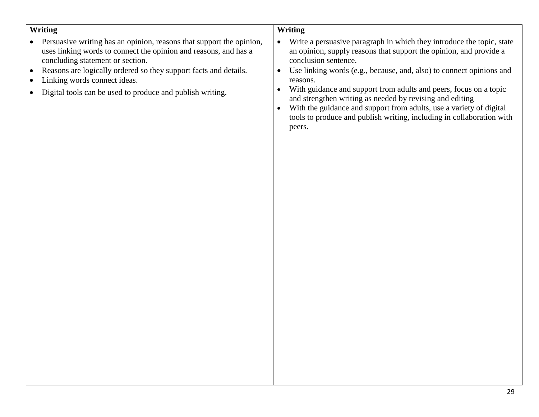#### **Writing**

- Persuasive writing has an opinion, reasons that support the opinion, uses linking words to connect the opinion and reasons, and has a concluding statement or section.
- Reasons are logically ordered so they support facts and details.
- Linking words connect ideas.
- Digital tools can be used to produce and publish writing.

#### **Writing**

- Write a persuasive paragraph in which they introduce the topic, state an opinion, supply reasons that support the opinion, and provide a conclusion sentence.
- Use linking words (e.g., because, and, also) to connect opinions and reasons.
- With guidance and support from adults and peers, focus on a topic and strengthen writing as needed by revising and editing
- With the guidance and support from adults, use a variety of digital tools to produce and publish writing, including in collaboration with peers.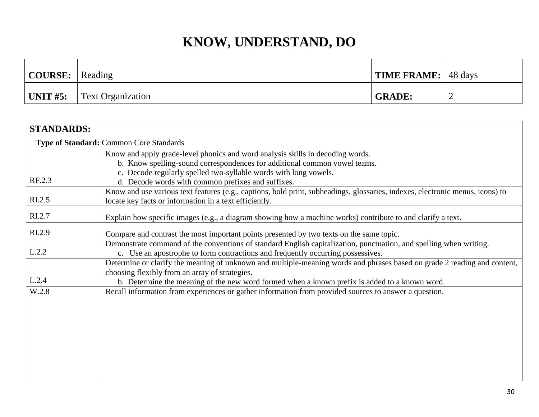| $\vert$ COURSE: $\vert$ | Reading                  | <b>TIME FRAME:</b> 48 days |  |
|-------------------------|--------------------------|----------------------------|--|
| $\vert$ UNIT #5:        | <b>Text Organization</b> | <b>GRADE:</b>              |  |

| <b>STANDARDS:</b>  |                                                                                                                                                                                                                                                                             |
|--------------------|-----------------------------------------------------------------------------------------------------------------------------------------------------------------------------------------------------------------------------------------------------------------------------|
|                    | Type of Standard: Common Core Standards                                                                                                                                                                                                                                     |
|                    | Know and apply grade-level phonics and word analysis skills in decoding words.<br>b. Know spelling-sound correspondences for additional common vowel teams.<br>c. Decode regularly spelled two-syllable words with long vowels.                                             |
| RF.2.3             | d. Decode words with common prefixes and suffixes.                                                                                                                                                                                                                          |
| R <sub>L.2.5</sub> | Know and use various text features (e.g., captions, bold print, subheadings, glossaries, indexes, electronic menus, icons) to<br>locate key facts or information in a text efficiently.                                                                                     |
| RI.2.7             | Explain how specific images (e.g., a diagram showing how a machine works) contribute to and clarify a text.                                                                                                                                                                 |
| RI.2.9             | Compare and contrast the most important points presented by two texts on the same topic.                                                                                                                                                                                    |
| L.2.2              | Demonstrate command of the conventions of standard English capitalization, punctuation, and spelling when writing.<br>c. Use an apostrophe to form contractions and frequently occurring possessives.                                                                       |
| L.2.4              | Determine or clarify the meaning of unknown and multiple-meaning words and phrases based on grade 2 reading and content,<br>choosing flexibly from an array of strategies.<br>b. Determine the meaning of the new word formed when a known prefix is added to a known word. |
| W.2.8              | Recall information from experiences or gather information from provided sources to answer a question.                                                                                                                                                                       |
|                    |                                                                                                                                                                                                                                                                             |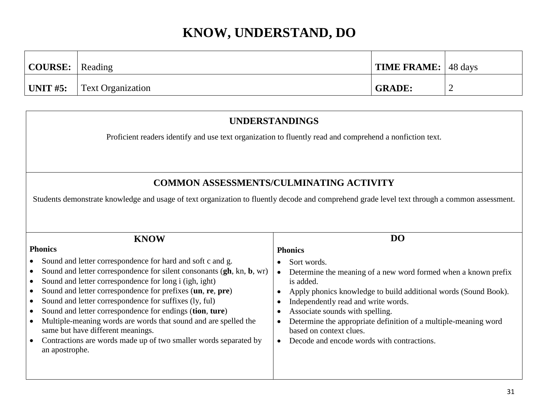| $\vert$ COURSE: $\vert$ Reading |                                            | <b>TIME FRAME:</b> 48 days |   |
|---------------------------------|--------------------------------------------|----------------------------|---|
|                                 | $\vert$ UNIT #5: $\vert$ Text Organization | <b>GRADE:</b>              | _ |

#### **UNDERSTANDINGS**

Proficient readers identify and use text organization to fluently read and comprehend a nonfiction text.

#### **COMMON ASSESSMENTS/CULMINATING ACTIVITY**

Students demonstrate knowledge and usage of text organization to fluently decode and comprehend grade level text through a common assessment.

| <b>KNOW</b>                                                                                                                                                                                                                                                                                                                                                                                                                                                                                                                                                                     | DO                                                                                                                                                                                                                                                                                                                                                                                                              |
|---------------------------------------------------------------------------------------------------------------------------------------------------------------------------------------------------------------------------------------------------------------------------------------------------------------------------------------------------------------------------------------------------------------------------------------------------------------------------------------------------------------------------------------------------------------------------------|-----------------------------------------------------------------------------------------------------------------------------------------------------------------------------------------------------------------------------------------------------------------------------------------------------------------------------------------------------------------------------------------------------------------|
| <b>Phonics</b>                                                                                                                                                                                                                                                                                                                                                                                                                                                                                                                                                                  | <b>Phonics</b>                                                                                                                                                                                                                                                                                                                                                                                                  |
| Sound and letter correspondence for hard and soft c and g.<br>Sound and letter correspondence for silent consonants (gh, kn, b, wr)<br>Sound and letter correspondence for long i (igh, ight)<br>Sound and letter correspondence for prefixes (un, re, pre)<br>Sound and letter correspondence for suffixes (ly, ful)<br>Sound and letter correspondence for endings (tion, ture)<br>Multiple-meaning words are words that sound and are spelled the<br>same but have different meanings.<br>Contractions are words made up of two smaller words separated by<br>an apostrophe. | Sort words.<br>$\bullet$<br>Determine the meaning of a new word formed when a known prefix<br>is added.<br>Apply phonics knowledge to build additional words (Sound Book).<br>€<br>Independently read and write words.<br>€<br>Associate sounds with spelling.<br>Determine the appropriate definition of a multiple-meaning word<br>€<br>based on context clues.<br>Decode and encode words with contractions. |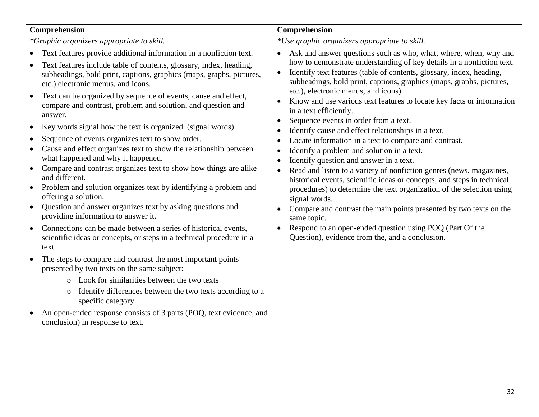#### **Comprehension**

*\*Graphic organizers appropriate to skill.*

- Text features provide additional information in a nonfiction text.
- Text features include table of contents, glossary, index, heading, subheadings, bold print, captions, graphics (maps, graphs, pictures, etc.) electronic menus, and icons.
- Text can be organized by sequence of events, cause and effect, compare and contrast, problem and solution, and question and answer.
- Key words signal how the text is organized. (signal words)
- Sequence of events organizes text to show order.
- Cause and effect organizes text to show the relationship between what happened and why it happened.
- Compare and contrast organizes text to show how things are alike and different.
- Problem and solution organizes text by identifying a problem and offering a solution.
- Ouestion and answer organizes text by asking questions and providing information to answer it.
- Connections can be made between a series of historical events, scientific ideas or concepts, or steps in a technical procedure in a text.
- The steps to compare and contrast the most important points presented by two texts on the same subject:
	- o Look for similarities between the two texts
	- o Identify differences between the two texts according to a specific category
- An open-ended response consists of 3 parts (POQ, text evidence, and conclusion) in response to text.

#### **Comprehension**

*\*Use graphic organizers appropriate to skill.*

- Ask and answer questions such as who, what, where, when, why and how to demonstrate understanding of key details in a nonfiction text.
- Identify text features (table of contents, glossary, index, heading, subheadings, bold print, captions, graphics (maps, graphs, pictures, etc.), electronic menus, and icons).
- Know and use various text features to locate key facts or information in a text efficiently.
- Sequence events in order from a text.
- Identify cause and effect relationships in a text.
- Locate information in a text to compare and contrast.
- Identify a problem and solution in a text.
- Identify question and answer in a text.
- Read and listen to a variety of nonfiction genres (news, magazines, historical events, scientific ideas or concepts, and steps in technical procedures) to determine the text organization of the selection using signal words.
- Compare and contrast the main points presented by two texts on the same topic.
- Respond to an open-ended question using POQ (Part Of the Question), evidence from the, and a conclusion.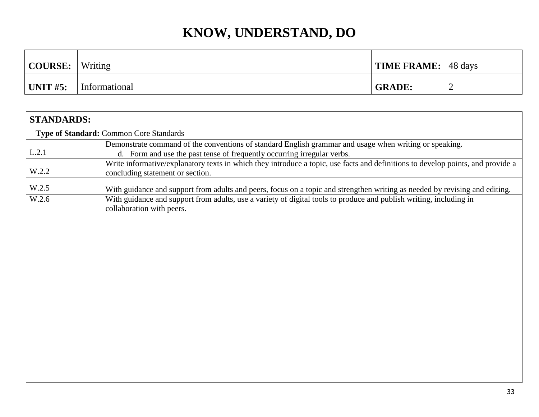| COURSE:      | Writing       | <b>TIME FRAME:</b> 48 days |                          |
|--------------|---------------|----------------------------|--------------------------|
| $ $ UNIT #5: | Informational | <b>GRADE:</b>              | $\overline{\phantom{a}}$ |

| Type of Standard: Common Core Standards<br>Demonstrate command of the conventions of standard English grammar and usage when writing or speaking.        |                                                                                                                                 |  |  |
|----------------------------------------------------------------------------------------------------------------------------------------------------------|---------------------------------------------------------------------------------------------------------------------------------|--|--|
|                                                                                                                                                          |                                                                                                                                 |  |  |
| L.2.1<br>d. Form and use the past tense of frequently occurring irregular verbs.                                                                         |                                                                                                                                 |  |  |
| W.2.2<br>concluding statement or section.                                                                                                                | Write informative/explanatory texts in which they introduce a topic, use facts and definitions to develop points, and provide a |  |  |
| W.2.5<br>With guidance and support from adults and peers, focus on a topic and strengthen writing as needed by revising and editing.                     |                                                                                                                                 |  |  |
| W.2.6<br>With guidance and support from adults, use a variety of digital tools to produce and publish writing, including in<br>collaboration with peers. |                                                                                                                                 |  |  |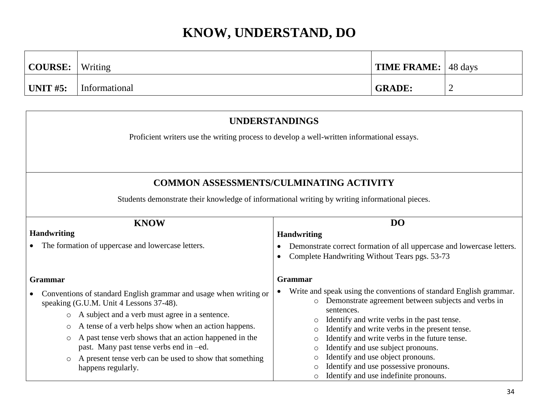| COURSE:          | Writing       | <b>TIME FRAME:</b> 48 days |  |
|------------------|---------------|----------------------------|--|
| $\vert$ UNIT #5: | Informational | <b>GRADE:</b>              |  |

| <b>UNDERSTANDINGS</b>                                                                                                          |                                                                                                                                                   |  |  |
|--------------------------------------------------------------------------------------------------------------------------------|---------------------------------------------------------------------------------------------------------------------------------------------------|--|--|
| Proficient writers use the writing process to develop a well-written informational essays.                                     |                                                                                                                                                   |  |  |
|                                                                                                                                |                                                                                                                                                   |  |  |
|                                                                                                                                | <b>COMMON ASSESSMENTS/CULMINATING ACTIVITY</b>                                                                                                    |  |  |
|                                                                                                                                | Students demonstrate their knowledge of informational writing by writing informational pieces.                                                    |  |  |
| D <sub>O</sub><br><b>KNOW</b>                                                                                                  |                                                                                                                                                   |  |  |
| <b>Handwriting</b>                                                                                                             | <b>Handwriting</b>                                                                                                                                |  |  |
| The formation of uppercase and lowercase letters.                                                                              | Demonstrate correct formation of all uppercase and lowercase letters.<br>Complete Handwriting Without Tears pgs. 53-73<br>٠                       |  |  |
| <b>Grammar</b>                                                                                                                 | Grammar                                                                                                                                           |  |  |
| Conventions of standard English grammar and usage when writing or<br>$\bullet$<br>speaking (G.U.M. Unit 4 Lessons 37-48).      | Write and speak using the conventions of standard English grammar.<br>$\bullet$<br>Demonstrate agreement between subjects and verbs in<br>$\circ$ |  |  |
| A subject and a verb must agree in a sentence.<br>$\circ$                                                                      | sentences.<br>Identify and write verbs in the past tense.<br>$\circ$                                                                              |  |  |
| A tense of a verb helps show when an action happens.<br>$\circ$<br>A past tense verb shows that an action happened in the<br>O | Identify and write verbs in the present tense.<br>Identify and write verbs in the future tense.<br>O                                              |  |  |
| past. Many past tense verbs end in -ed.                                                                                        | Identify and use subject pronouns.<br>$\circ$                                                                                                     |  |  |
| A present tense verb can be used to show that something<br>$\circ$<br>happens regularly.                                       | Identify and use object pronouns.<br>∩<br>Identify and use possessive pronouns.<br>Identify and use indefinite pronouns.<br>O                     |  |  |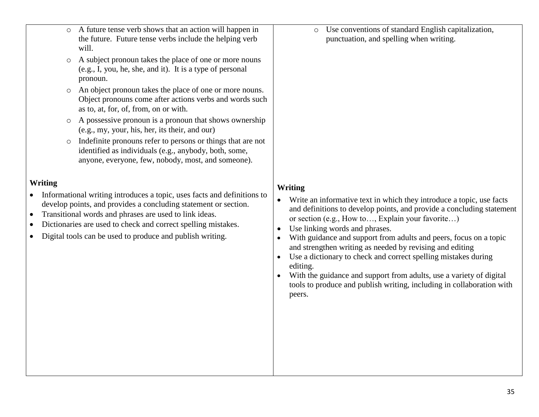- o A future tense verb shows that an action will happen in the future. Future tense verbs include the helping verb will.
- o A subject pronoun takes the place of one or more nouns (e.g., I, you, he, she, and it). It is a type of personal pronoun.
- o An object pronoun takes the place of one or more nouns. Object pronouns come after actions verbs and words such as to, at, for, of, from, on or with.
- o A possessive pronoun is a pronoun that shows ownership (e.g., my, your, his, her, its their, and our)
- o Indefinite pronouns refer to persons or things that are not identified as individuals (e.g., anybody, both, some, anyone, everyone, few, nobody, most, and someone).

#### **Writing**

- Informational writing introduces a topic, uses facts and definitions to develop points, and provides a concluding statement or section.
- Transitional words and phrases are used to link ideas.
- Dictionaries are used to check and correct spelling mistakes.
- Digital tools can be used to produce and publish writing.

o Use conventions of standard English capitalization, punctuation, and spelling when writing.

#### **Writing**

- Write an informative text in which they introduce a topic, use facts and definitions to develop points, and provide a concluding statement or section (e.g., How to…, Explain your favorite…)
- Use linking words and phrases.
- With guidance and support from adults and peers, focus on a topic and strengthen writing as needed by revising and editing
- Use a dictionary to check and correct spelling mistakes during editing.
- With the guidance and support from adults, use a variety of digital tools to produce and publish writing, including in collaboration with peers.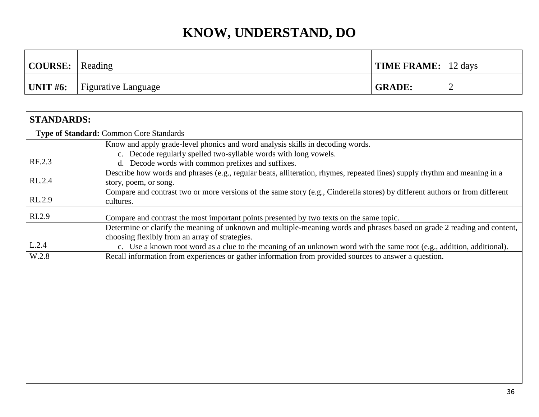| $\vert$ COURSE: $\vert$ | Reading                    | TIME FRAME:   12 days |  |
|-------------------------|----------------------------|-----------------------|--|
| $^{\prime}$ UNIT #6:    | <b>Figurative Language</b> | <b>GRADE:</b>         |  |

| <b>STANDARDS:</b> |                                                                                                                                                                                                                                                                                                                                                                                                              |
|-------------------|--------------------------------------------------------------------------------------------------------------------------------------------------------------------------------------------------------------------------------------------------------------------------------------------------------------------------------------------------------------------------------------------------------------|
|                   | <b>Type of Standard: Common Core Standards</b>                                                                                                                                                                                                                                                                                                                                                               |
|                   | Know and apply grade-level phonics and word analysis skills in decoding words.                                                                                                                                                                                                                                                                                                                               |
| RF.2.3            | c. Decode regularly spelled two-syllable words with long vowels.<br>d. Decode words with common prefixes and suffixes.                                                                                                                                                                                                                                                                                       |
| RL.2.4            | Describe how words and phrases (e.g., regular beats, alliteration, rhymes, repeated lines) supply rhythm and meaning in a<br>story, poem, or song.                                                                                                                                                                                                                                                           |
| RL.2.9            | Compare and contrast two or more versions of the same story (e.g., Cinderella stores) by different authors or from different<br>cultures.                                                                                                                                                                                                                                                                    |
| RI.2.9            | Compare and contrast the most important points presented by two texts on the same topic.                                                                                                                                                                                                                                                                                                                     |
| L.2.4<br>W.2.8    | Determine or clarify the meaning of unknown and multiple-meaning words and phrases based on grade 2 reading and content,<br>choosing flexibly from an array of strategies.<br>c. Use a known root word as a clue to the meaning of an unknown word with the same root (e.g., addition, additional).<br>Recall information from experiences or gather information from provided sources to answer a question. |
|                   |                                                                                                                                                                                                                                                                                                                                                                                                              |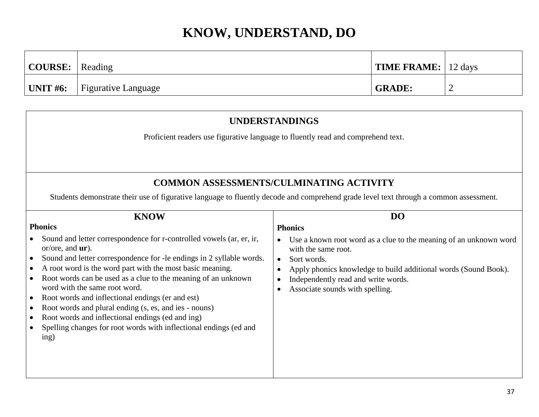| $\vert$ COURSE: $\vert$ Reading |                            | <b>TIME FRAME:</b> 12 days |   |
|---------------------------------|----------------------------|----------------------------|---|
| $\mid$ UNIT #6:                 | <b>Figurative Language</b> | <b>GRADE:</b>              | ∽ |

| <b>UNDERSTANDINGS</b>                                                                                                                                                                                                                                                                                                                                                                                                                                                                                                                                                                                                                |                                                                                                                                                                                                                                                                   |  |  |
|--------------------------------------------------------------------------------------------------------------------------------------------------------------------------------------------------------------------------------------------------------------------------------------------------------------------------------------------------------------------------------------------------------------------------------------------------------------------------------------------------------------------------------------------------------------------------------------------------------------------------------------|-------------------------------------------------------------------------------------------------------------------------------------------------------------------------------------------------------------------------------------------------------------------|--|--|
| Proficient readers use figurative language to fluently read and comprehend text.                                                                                                                                                                                                                                                                                                                                                                                                                                                                                                                                                     |                                                                                                                                                                                                                                                                   |  |  |
|                                                                                                                                                                                                                                                                                                                                                                                                                                                                                                                                                                                                                                      | <b>COMMON ASSESSMENTS/CULMINATING ACTIVITY</b>                                                                                                                                                                                                                    |  |  |
|                                                                                                                                                                                                                                                                                                                                                                                                                                                                                                                                                                                                                                      | Students demonstrate their use of figurative language to fluently decode and comprehend grade level text through a common assessment.                                                                                                                             |  |  |
| <b>DO</b><br><b>KNOW</b><br><b>Phonics</b><br><b>Phonics</b>                                                                                                                                                                                                                                                                                                                                                                                                                                                                                                                                                                         |                                                                                                                                                                                                                                                                   |  |  |
| Sound and letter correspondence for r-controlled vowels (ar, er, ir,<br>or/ore, and $ur$ ).<br>Sound and letter correspondence for -le endings in 2 syllable words.<br>A root word is the word part with the most basic meaning.<br>Root words can be used as a clue to the meaning of an unknown<br>$\bullet$<br>word with the same root word.<br>Root words and inflectional endings (er and est)<br>$\bullet$<br>Root words and plural ending (s, es, and ies - nouns)<br>$\bullet$<br>Root words and inflectional endings (ed and ing)<br>$\bullet$<br>Spelling changes for root words with inflectional endings (ed and<br>ing) | Use a known root word as a clue to the meaning of an unknown word<br>with the same root.<br>Sort words.<br>$\bullet$<br>Apply phonics knowledge to build additional words (Sound Book).<br>Independently read and write words.<br>Associate sounds with spelling. |  |  |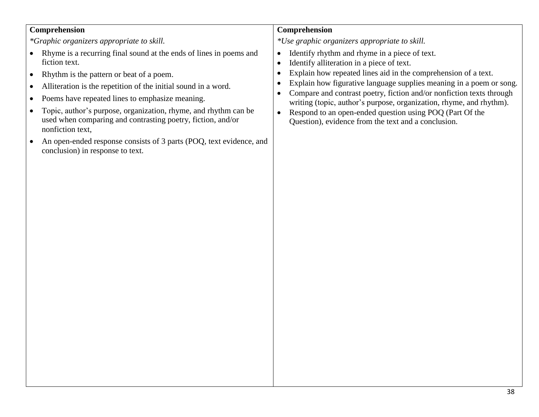#### **Comprehension**

*\*Graphic organizers appropriate to skill.*

- Rhyme is a recurring final sound at the ends of lines in poems and fiction text.
- Rhythm is the pattern or beat of a poem.
- Alliteration is the repetition of the initial sound in a word.
- Poems have repeated lines to emphasize meaning.
- Topic, author's purpose, organization, rhyme, and rhythm can be used when comparing and contrasting poetry, fiction, and/or nonfiction text,
- An open-ended response consists of 3 parts (POQ, text evidence, and conclusion) in response to text.

#### **Comprehension**

*\*Use graphic organizers appropriate to skill.*

- Identify rhythm and rhyme in a piece of text.
- Identify alliteration in a piece of text.
- Explain how repeated lines aid in the comprehension of a text.
- Explain how figurative language supplies meaning in a poem or song.
- Compare and contrast poetry, fiction and/or nonfiction texts through writing (topic, author's purpose, organization, rhyme, and rhythm).
- Respond to an open-ended question using POQ (Part Of the Question), evidence from the text and a conclusion.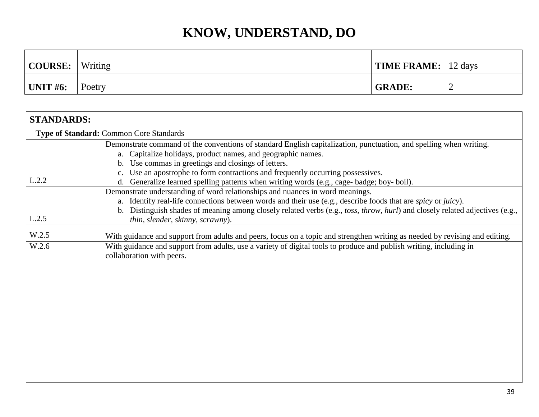| COURSE:         | Writing | <b>TIME FRAME:</b> 12 days |   |
|-----------------|---------|----------------------------|---|
| <b>UNIT #6:</b> | Poetry  | <b>GRADE:</b>              | ∼ |

| <b>STANDARDS:</b> |                                                                                                                                                                                                                                                                                                                                                                                   |
|-------------------|-----------------------------------------------------------------------------------------------------------------------------------------------------------------------------------------------------------------------------------------------------------------------------------------------------------------------------------------------------------------------------------|
|                   | <b>Type of Standard: Common Core Standards</b>                                                                                                                                                                                                                                                                                                                                    |
|                   | Demonstrate command of the conventions of standard English capitalization, punctuation, and spelling when writing.<br>a. Capitalize holidays, product names, and geographic names.<br>b. Use commas in greetings and closings of letters.                                                                                                                                         |
| L.2.2             | Use an apostrophe to form contractions and frequently occurring possessives.<br>Generalize learned spelling patterns when writing words (e.g., cage- badge; boy- boil).<br>d.                                                                                                                                                                                                     |
| L.2.5             | Demonstrate understanding of word relationships and nuances in word meanings.<br>a. Identify real-life connections between words and their use (e.g., describe foods that are spicy or juicy).<br>Distinguish shades of meaning among closely related verbs (e.g., toss, throw, hurl) and closely related adjectives (e.g.,<br>$\mathbf{b}$ .<br>thin, slender, skinny, scrawny). |
| W.2.5             | With guidance and support from adults and peers, focus on a topic and strengthen writing as needed by revising and editing.                                                                                                                                                                                                                                                       |
| W.2.6             | With guidance and support from adults, use a variety of digital tools to produce and publish writing, including in<br>collaboration with peers.                                                                                                                                                                                                                                   |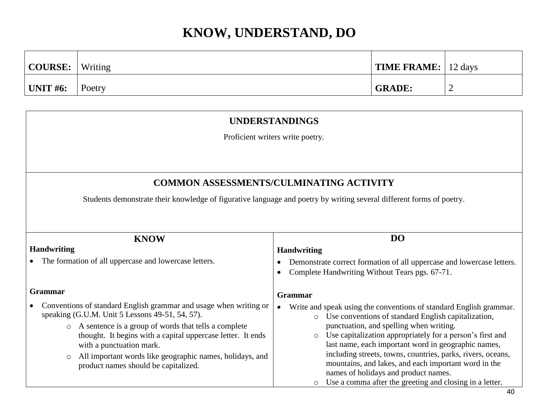| COURSE:          | Writing | <b>TIME FRAME:</b> $\vert$ 12 days |  |
|------------------|---------|------------------------------------|--|
| $\vert$ UNIT #6: | Poetry  | <b>GRADE:</b>                      |  |

#### **UNDERSTANDINGS**

Proficient writers write poetry.

#### **COMMON ASSESSMENTS/CULMINATING ACTIVITY**

Students demonstrate their knowledge of figurative language and poetry by writing several different forms of poetry.

| <b>KNOW</b>                                                                                                                                                                                                                                                               | DO                                                                                                                                                                                                                                                                                                                                                                                                          |
|---------------------------------------------------------------------------------------------------------------------------------------------------------------------------------------------------------------------------------------------------------------------------|-------------------------------------------------------------------------------------------------------------------------------------------------------------------------------------------------------------------------------------------------------------------------------------------------------------------------------------------------------------------------------------------------------------|
| <b>Handwriting</b>                                                                                                                                                                                                                                                        | <b>Handwriting</b>                                                                                                                                                                                                                                                                                                                                                                                          |
| The formation of all uppercase and lowercase letters.                                                                                                                                                                                                                     | Demonstrate correct formation of all uppercase and lowercase letters.<br>Complete Handwriting Without Tears pgs. 67-71.                                                                                                                                                                                                                                                                                     |
| <b>Grammar</b>                                                                                                                                                                                                                                                            | <b>Grammar</b>                                                                                                                                                                                                                                                                                                                                                                                              |
| Conventions of standard English grammar and usage when writing or<br>speaking (G.U.M. Unit 5 Lessons 49-51, 54, 57).                                                                                                                                                      | Write and speak using the conventions of standard English grammar.<br>$\bullet$<br>Use conventions of standard English capitalization,<br>$\circ$                                                                                                                                                                                                                                                           |
| A sentence is a group of words that tells a complete<br>$\circ$<br>thought. It begins with a capital uppercase letter. It ends<br>with a punctuation mark.<br>All important words like geographic names, holidays, and<br>$\circ$<br>product names should be capitalized. | punctuation, and spelling when writing.<br>Use capitalization appropriately for a person's first and<br>$\circ$<br>last name, each important word in geographic names,<br>including streets, towns, countries, parks, rivers, oceans,<br>mountains, and lakes, and each important word in the<br>names of holidays and product names.<br>Use a comma after the greeting and closing in a letter.<br>$\circ$ |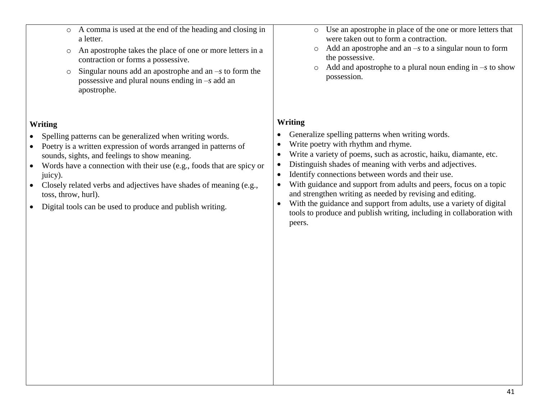- o A comma is used at the end of the heading and closing in a letter.
- o An apostrophe takes the place of one or more letters in a contraction or forms a possessive.
- o Singular nouns add an apostrophe and an *–s* to form the possessive and plural nouns ending in *–s* add an apostrophe.

#### **Writing**

- Spelling patterns can be generalized when writing words.
- Poetry is a written expression of words arranged in patterns of sounds, sights, and feelings to show meaning.
- Words have a connection with their use (e.g., foods that are spicy or juicy).
- Closely related verbs and adjectives have shades of meaning (e.g., toss, throw, hurl).
- Digital tools can be used to produce and publish writing.
- o Use an apostrophe in place of the one or more letters that were taken out to form a contraction.
- o Add an apostrophe and an *–s* to a singular noun to form the possessive.
- o Add and apostrophe to a plural noun ending in *–s* to show possession.

#### **Writing**

- Generalize spelling patterns when writing words.
- Write poetry with rhythm and rhyme.
- Write a variety of poems, such as acrostic, haiku, diamante, etc.
- Distinguish shades of meaning with verbs and adjectives.
- Identify connections between words and their use.
- With guidance and support from adults and peers, focus on a topic and strengthen writing as needed by revising and editing.
- With the guidance and support from adults, use a variety of digital tools to produce and publish writing, including in collaboration with peers.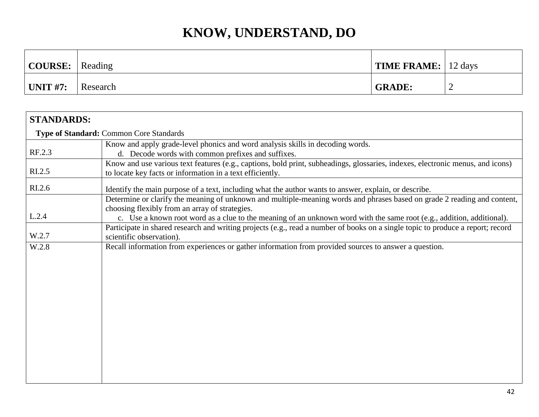| $\vert$ COURSE: $\vert$ | Reading  | <b>TIME FRAME:</b> 12 days |                          |
|-------------------------|----------|----------------------------|--------------------------|
| UNIT #7:                | Research | <b>GRADE:</b>              | $\overline{\phantom{a}}$ |

| <b>STANDARDS:</b>                              |                                                                                                                                                                                                                                                                                                     |  |  |  |
|------------------------------------------------|-----------------------------------------------------------------------------------------------------------------------------------------------------------------------------------------------------------------------------------------------------------------------------------------------------|--|--|--|
| <b>Type of Standard: Common Core Standards</b> |                                                                                                                                                                                                                                                                                                     |  |  |  |
| RF.2.3                                         | Know and apply grade-level phonics and word analysis skills in decoding words.<br>d. Decode words with common prefixes and suffixes.                                                                                                                                                                |  |  |  |
| R <sub>L.2.5</sub>                             | Know and use various text features (e.g., captions, bold print, subheadings, glossaries, indexes, electronic menus, and icons)<br>to locate key facts or information in a text efficiently.                                                                                                         |  |  |  |
| RI.2.6                                         | Identify the main purpose of a text, including what the author wants to answer, explain, or describe.                                                                                                                                                                                               |  |  |  |
| L.2.4                                          | Determine or clarify the meaning of unknown and multiple-meaning words and phrases based on grade 2 reading and content,<br>choosing flexibly from an array of strategies.<br>c. Use a known root word as a clue to the meaning of an unknown word with the same root (e.g., addition, additional). |  |  |  |
| W.2.7                                          | Participate in shared research and writing projects (e.g., read a number of books on a single topic to produce a report; record<br>scientific observation).                                                                                                                                         |  |  |  |
| W.2.8                                          | Recall information from experiences or gather information from provided sources to answer a question.                                                                                                                                                                                               |  |  |  |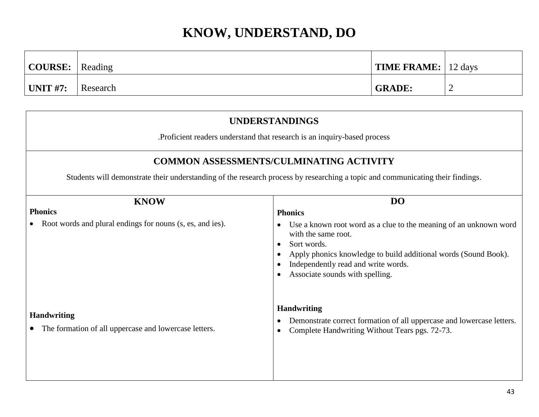| $\vert$ COURSE: $\vert$ Reading |          | <b>TIME FRAME:</b>   12 days |  |
|---------------------------------|----------|------------------------------|--|
| $\mid$ UNIT #7:                 | Research | <b>GRADE:</b>                |  |

| <b>UNDERSTANDINGS</b>                                                       |                                                                                                                                                                                                                                                      |  |  |  |
|-----------------------------------------------------------------------------|------------------------------------------------------------------------------------------------------------------------------------------------------------------------------------------------------------------------------------------------------|--|--|--|
| . Proficient readers understand that research is an inquiry-based process   |                                                                                                                                                                                                                                                      |  |  |  |
| <b>COMMON ASSESSMENTS/CULMINATING ACTIVITY</b>                              |                                                                                                                                                                                                                                                      |  |  |  |
|                                                                             | Students will demonstrate their understanding of the research process by researching a topic and communicating their findings.                                                                                                                       |  |  |  |
| <b>KNOW</b>                                                                 | <b>DO</b>                                                                                                                                                                                                                                            |  |  |  |
| <b>Phonics</b>                                                              | <b>Phonics</b>                                                                                                                                                                                                                                       |  |  |  |
| Root words and plural endings for nouns (s, es, and ies).                   | Use a known root word as a clue to the meaning of an unknown word<br>with the same root.<br>Sort words.<br>Apply phonics knowledge to build additional words (Sound Book).<br>Independently read and write words.<br>Associate sounds with spelling. |  |  |  |
| <b>Handwriting</b><br>The formation of all uppercase and lowercase letters. | <b>Handwriting</b><br>Demonstrate correct formation of all uppercase and lowercase letters.<br>Complete Handwriting Without Tears pgs. 72-73.                                                                                                        |  |  |  |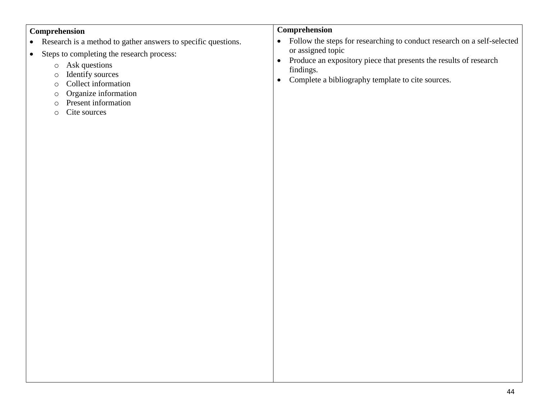#### **Comprehension**

- Research is a method to gather answers to specific questions.
- Steps to completing the research process:
	- o Ask questions
	- o Identify sources
	- o Collect information
	- o Organize information
	- o Present information
	- o Cite sources

#### **Comprehension**

- Follow the steps for researching to conduct research on a self-selected or assigned topic
- Produce an expository piece that presents the results of research findings.
- Complete a bibliography template to cite sources.